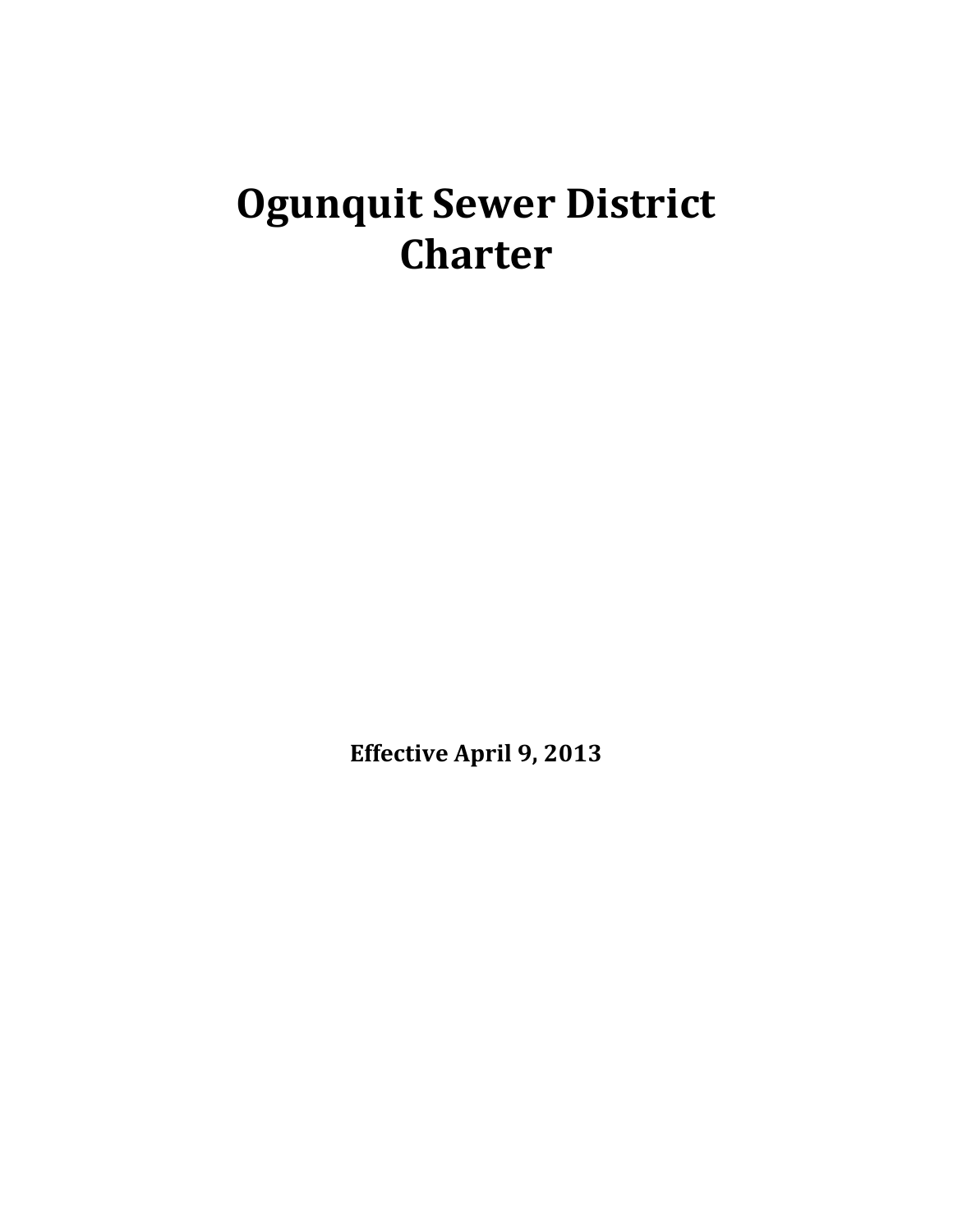# **Ogunquit Sewer District Charter**

**Effective April 9, 2013**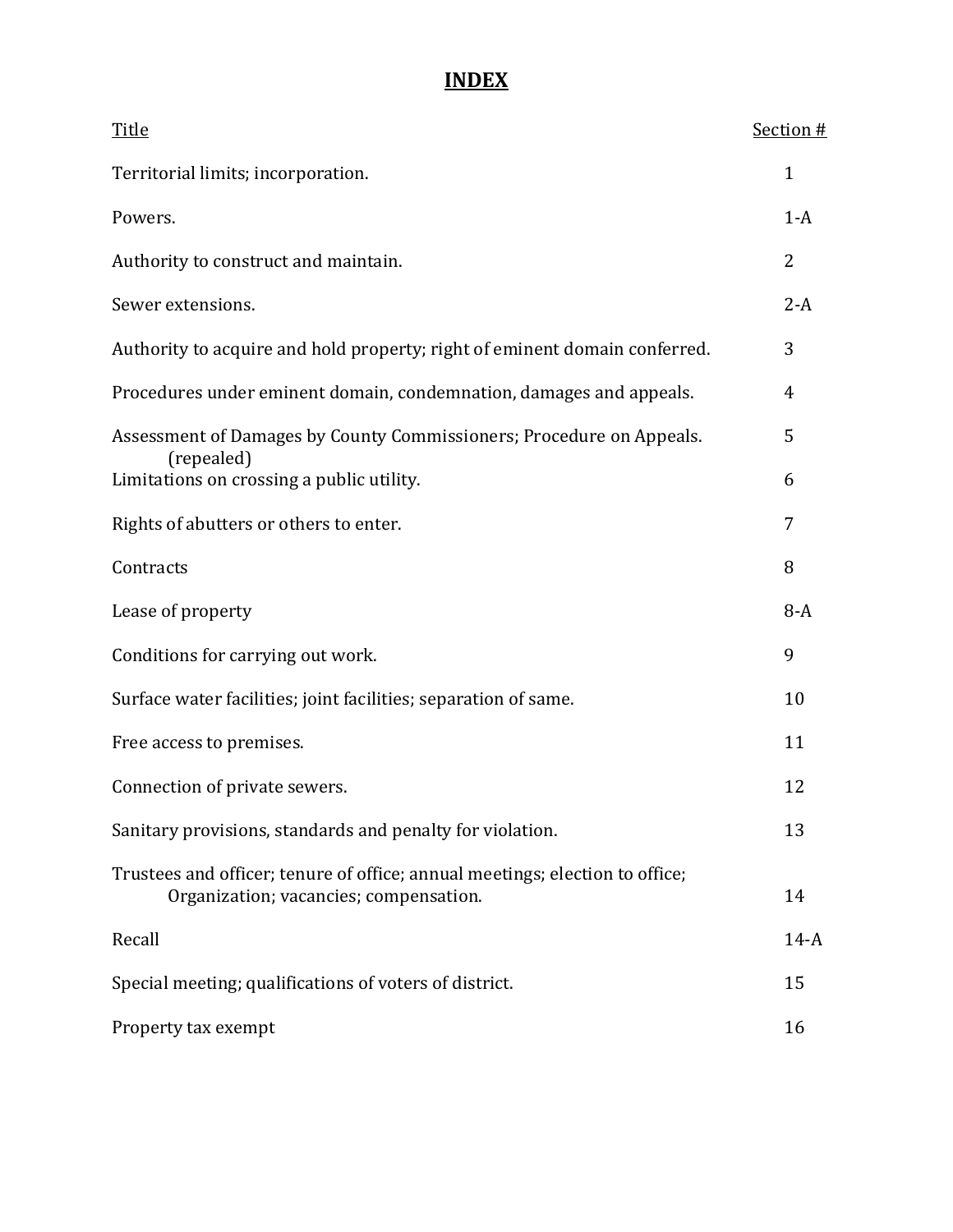# **INDEX**

| <b>Title</b>                                                                                                           | Section #    |
|------------------------------------------------------------------------------------------------------------------------|--------------|
| Territorial limits; incorporation.                                                                                     | $\mathbf{1}$ |
| Powers.                                                                                                                | $1-A$        |
| Authority to construct and maintain.                                                                                   | 2            |
| Sewer extensions.                                                                                                      | $2-A$        |
| Authority to acquire and hold property; right of eminent domain conferred.                                             | 3            |
| Procedures under eminent domain, condemnation, damages and appeals.                                                    | 4            |
| Assessment of Damages by County Commissioners; Procedure on Appeals.<br>(repealed)                                     | 5            |
| Limitations on crossing a public utility.                                                                              | 6            |
| Rights of abutters or others to enter.                                                                                 | 7            |
| Contracts                                                                                                              | 8            |
| Lease of property                                                                                                      | $8-A$        |
| Conditions for carrying out work.                                                                                      | 9            |
| Surface water facilities; joint facilities; separation of same.                                                        | 10           |
| Free access to premises.                                                                                               | 11           |
| Connection of private sewers.                                                                                          | 12           |
| Sanitary provisions, standards and penalty for violation.                                                              | 13           |
| Trustees and officer; tenure of office; annual meetings; election to office;<br>Organization; vacancies; compensation. | 14           |
| Recall                                                                                                                 | $14-A$       |
| Special meeting; qualifications of voters of district.                                                                 | 15           |
| Property tax exempt                                                                                                    | 16           |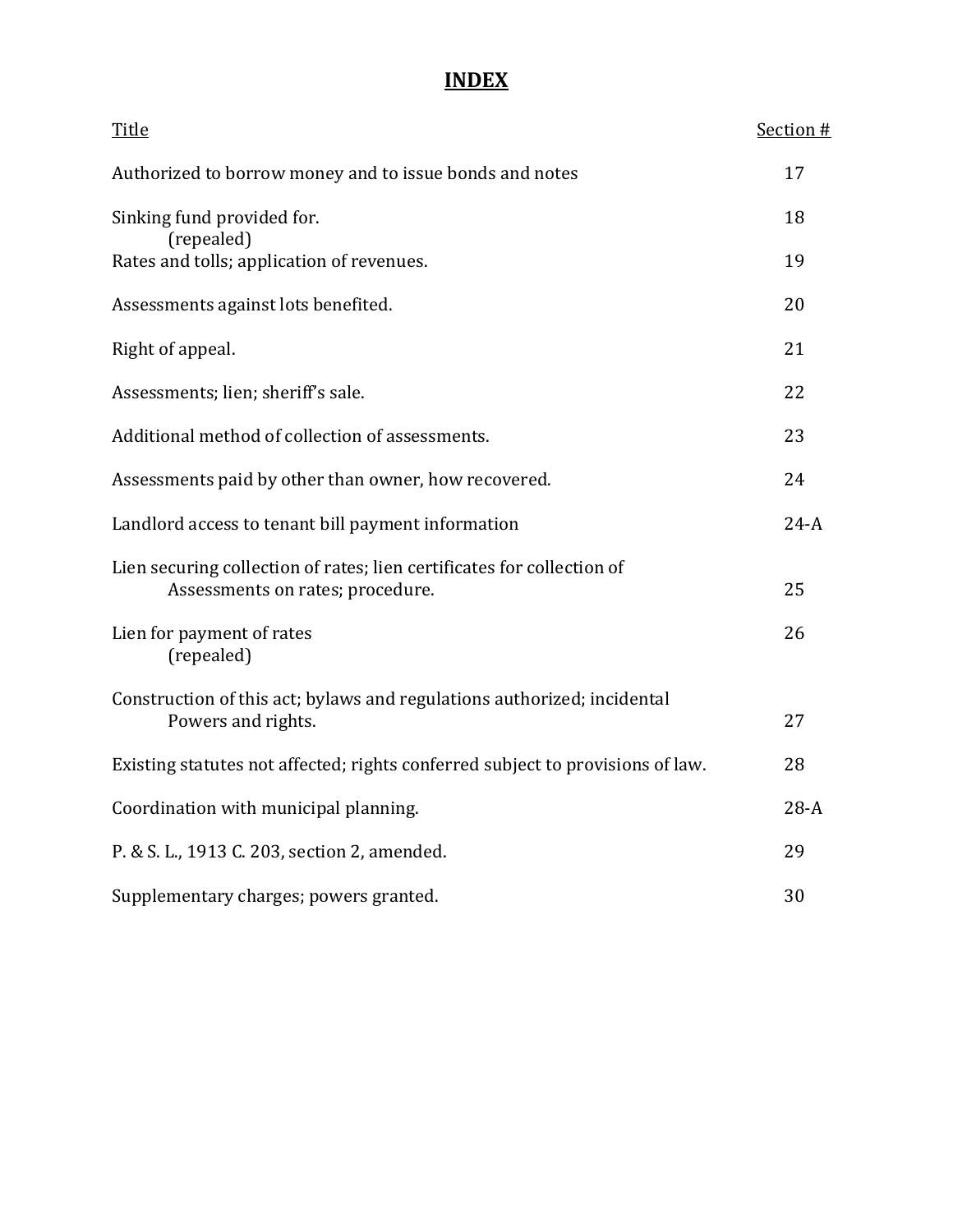# **INDEX**

| Title                                                                                                      | Section # |
|------------------------------------------------------------------------------------------------------------|-----------|
| Authorized to borrow money and to issue bonds and notes                                                    | 17        |
| Sinking fund provided for.<br>(repealed)                                                                   | 18        |
| Rates and tolls; application of revenues.                                                                  | 19        |
| Assessments against lots benefited.                                                                        | 20        |
| Right of appeal.                                                                                           | 21        |
| Assessments; lien; sheriff's sale.                                                                         | 22        |
| Additional method of collection of assessments.                                                            | 23        |
| Assessments paid by other than owner, how recovered.                                                       | 24        |
| Landlord access to tenant bill payment information                                                         | $24-A$    |
| Lien securing collection of rates; lien certificates for collection of<br>Assessments on rates; procedure. | 25        |
| Lien for payment of rates<br>(repealed)                                                                    | 26        |
| Construction of this act; bylaws and regulations authorized; incidental<br>Powers and rights.              | 27        |
| Existing statutes not affected; rights conferred subject to provisions of law.                             | 28        |
| Coordination with municipal planning.                                                                      | $28-A$    |
| P. & S. L., 1913 C. 203, section 2, amended.                                                               | 29        |
| Supplementary charges; powers granted.                                                                     | 30        |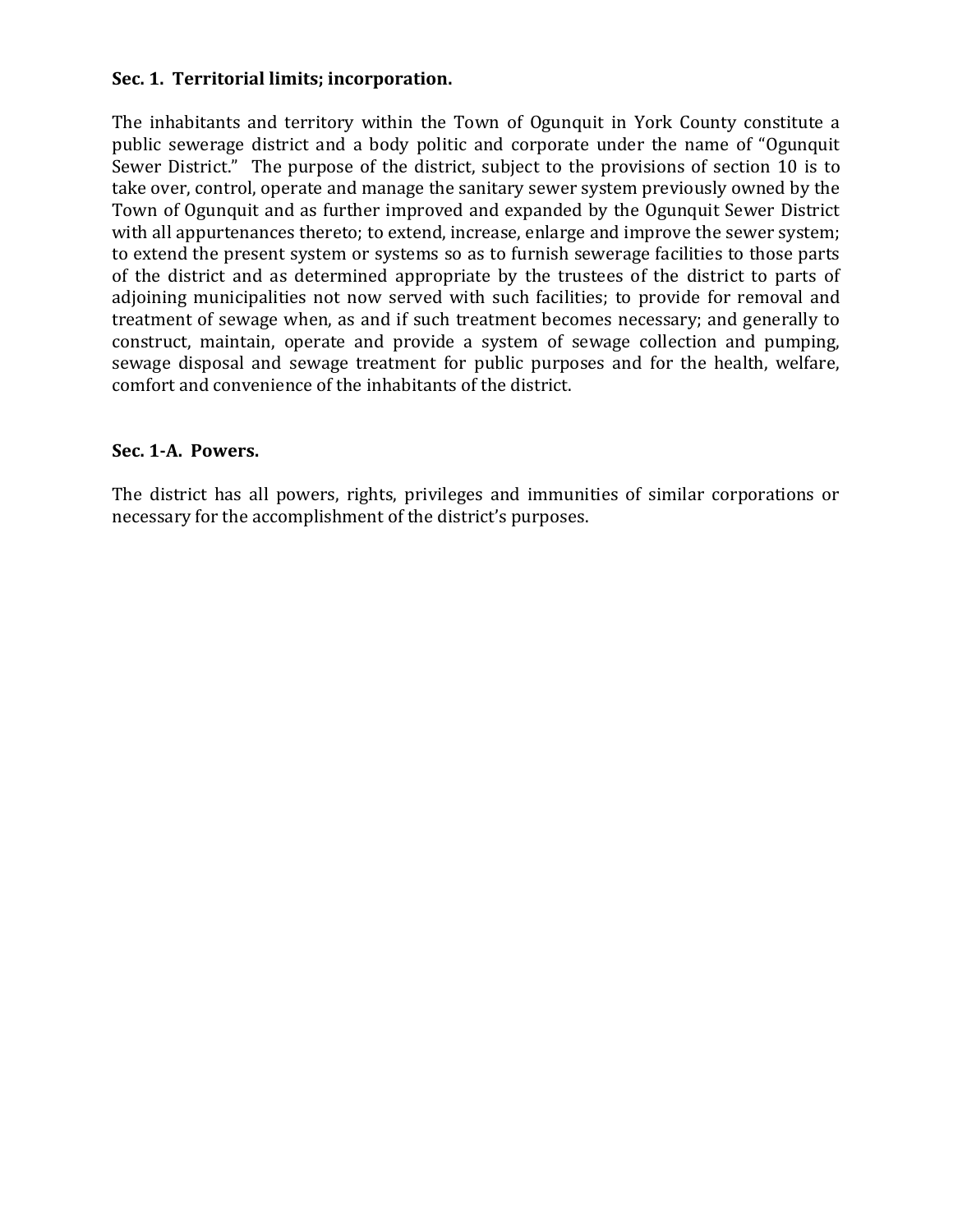## **Sec. 1. Territorial limits; incorporation.**

The inhabitants and territory within the Town of Ogunquit in York County constitute a public sewerage district and a body politic and corporate under the name of "Ogunquit Sewer District." The purpose of the district, subject to the provisions of section 10 is to take over, control, operate and manage the sanitary sewer system previously owned by the Town of Ogunquit and as further improved and expanded by the Ogunquit Sewer District with all appurtenances thereto; to extend, increase, enlarge and improve the sewer system; to extend the present system or systems so as to furnish sewerage facilities to those parts of the district and as determined appropriate by the trustees of the district to parts of adjoining municipalities not now served with such facilities; to provide for removal and treatment of sewage when, as and if such treatment becomes necessary; and generally to construct, maintain, operate and provide a system of sewage collection and pumping, sewage disposal and sewage treatment for public purposes and for the health, welfare, comfort and convenience of the inhabitants of the district.

#### **Sec. 1-A. Powers.**

The district has all powers, rights, privileges and immunities of similar corporations or necessary for the accomplishment of the district's purposes.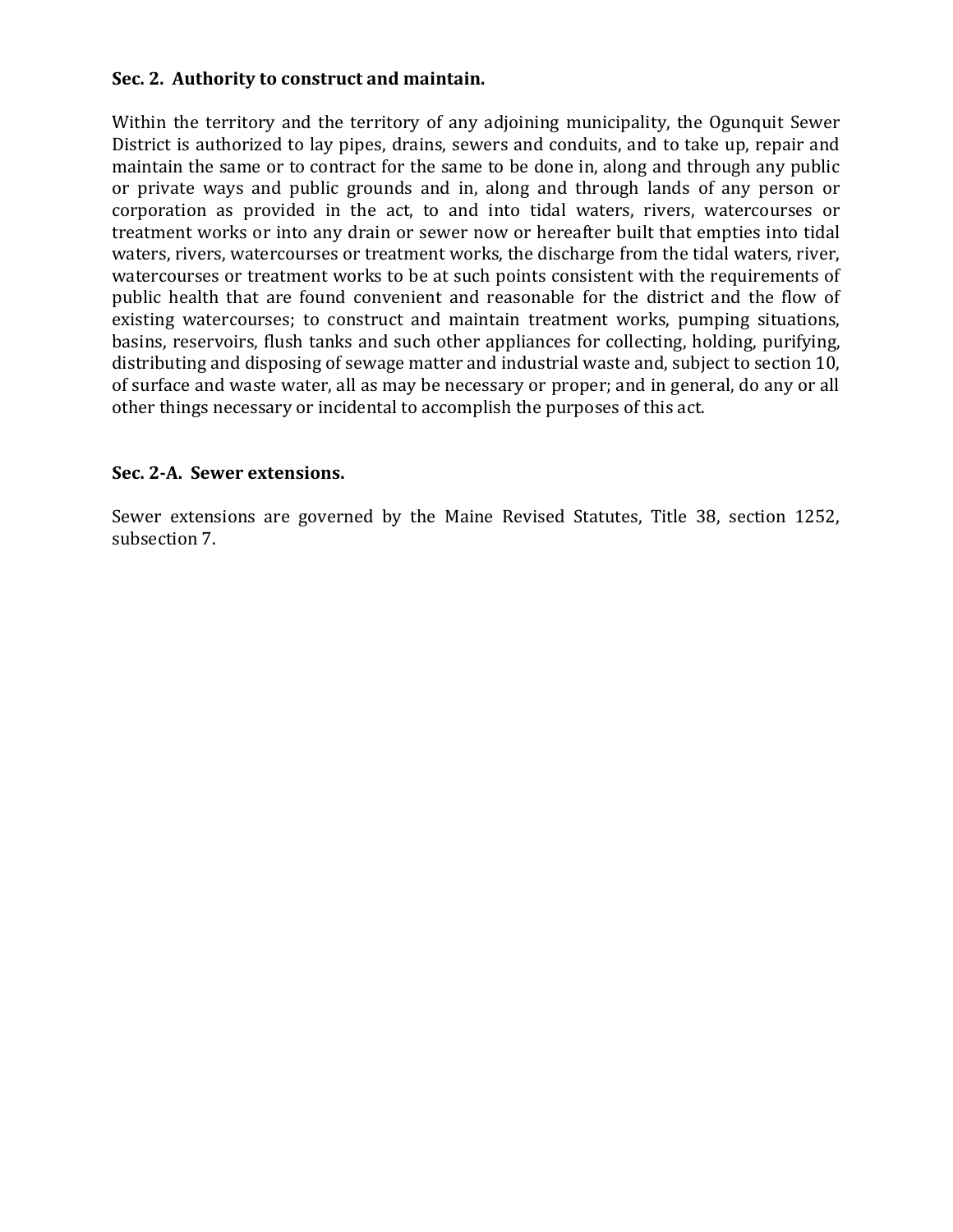#### **Sec. 2. Authority to construct and maintain.**

Within the territory and the territory of any adjoining municipality, the Ogunquit Sewer District is authorized to lay pipes, drains, sewers and conduits, and to take up, repair and maintain the same or to contract for the same to be done in, along and through any public or private ways and public grounds and in, along and through lands of any person or corporation as provided in the act, to and into tidal waters, rivers, watercourses or treatment works or into any drain or sewer now or hereafter built that empties into tidal waters, rivers, watercourses or treatment works, the discharge from the tidal waters, river, watercourses or treatment works to be at such points consistent with the requirements of public health that are found convenient and reasonable for the district and the flow of existing watercourses; to construct and maintain treatment works, pumping situations, basins, reservoirs, flush tanks and such other appliances for collecting, holding, purifying, distributing and disposing of sewage matter and industrial waste and, subject to section 10, of surface and waste water, all as may be necessary or proper; and in general, do any or all other things necessary or incidental to accomplish the purposes of this act.

#### **Sec. 2-A. Sewer extensions.**

Sewer extensions are governed by the Maine Revised Statutes, Title 38, section 1252, subsection 7.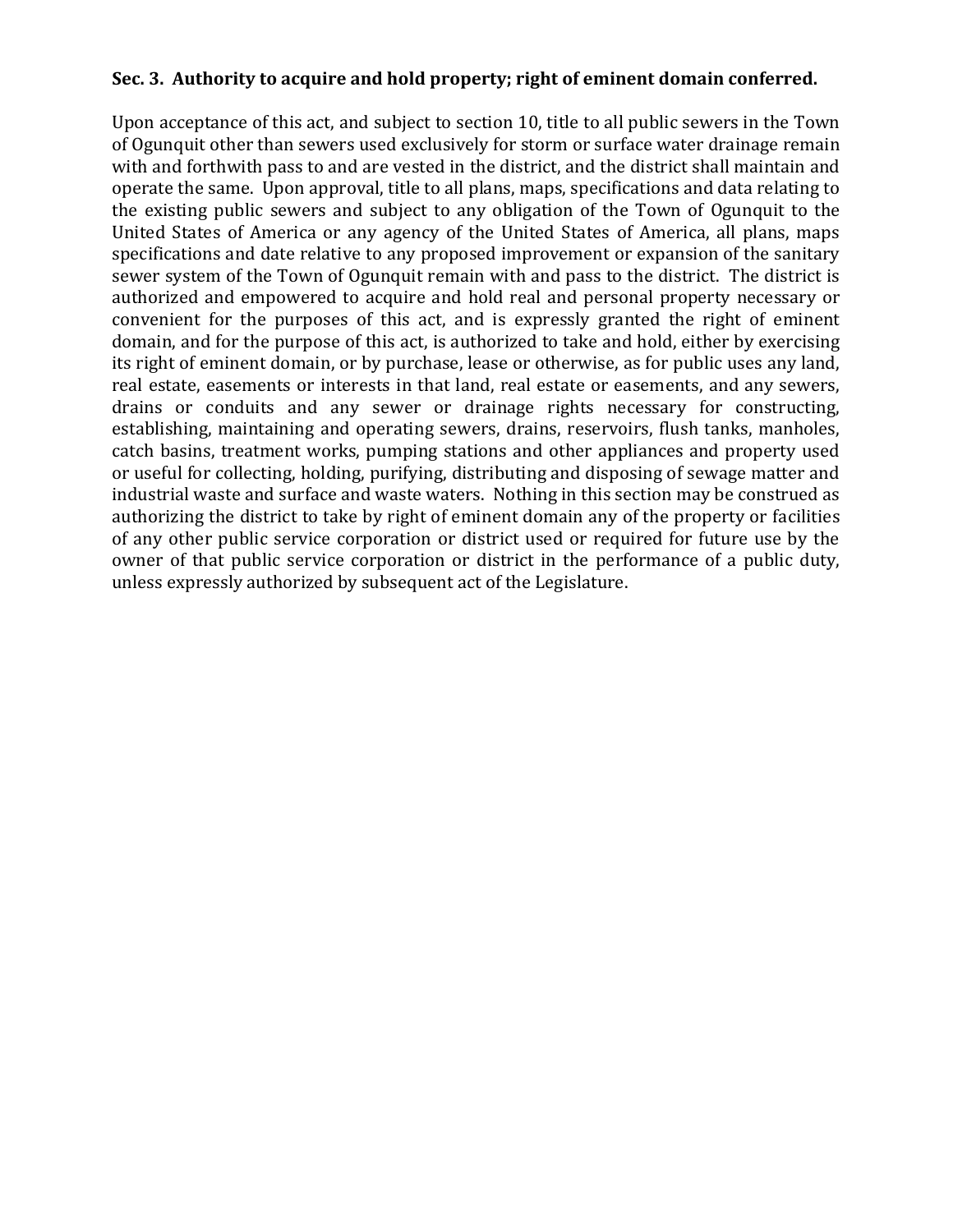## **Sec. 3. Authority to acquire and hold property; right of eminent domain conferred.**

Upon acceptance of this act, and subject to section 10, title to all public sewers in the Town of Ogunquit other than sewers used exclusively for storm or surface water drainage remain with and forthwith pass to and are vested in the district, and the district shall maintain and operate the same. Upon approval, title to all plans, maps, specifications and data relating to the existing public sewers and subject to any obligation of the Town of Ogunquit to the United States of America or any agency of the United States of America, all plans, maps specifications and date relative to any proposed improvement or expansion of the sanitary sewer system of the Town of Ogunquit remain with and pass to the district. The district is authorized and empowered to acquire and hold real and personal property necessary or convenient for the purposes of this act, and is expressly granted the right of eminent domain, and for the purpose of this act, is authorized to take and hold, either by exercising its right of eminent domain, or by purchase, lease or otherwise, as for public uses any land, real estate, easements or interests in that land, real estate or easements, and any sewers, drains or conduits and any sewer or drainage rights necessary for constructing, establishing, maintaining and operating sewers, drains, reservoirs, flush tanks, manholes, catch basins, treatment works, pumping stations and other appliances and property used or useful for collecting, holding, purifying, distributing and disposing of sewage matter and industrial waste and surface and waste waters. Nothing in this section may be construed as authorizing the district to take by right of eminent domain any of the property or facilities of any other public service corporation or district used or required for future use by the owner of that public service corporation or district in the performance of a public duty, unless expressly authorized by subsequent act of the Legislature.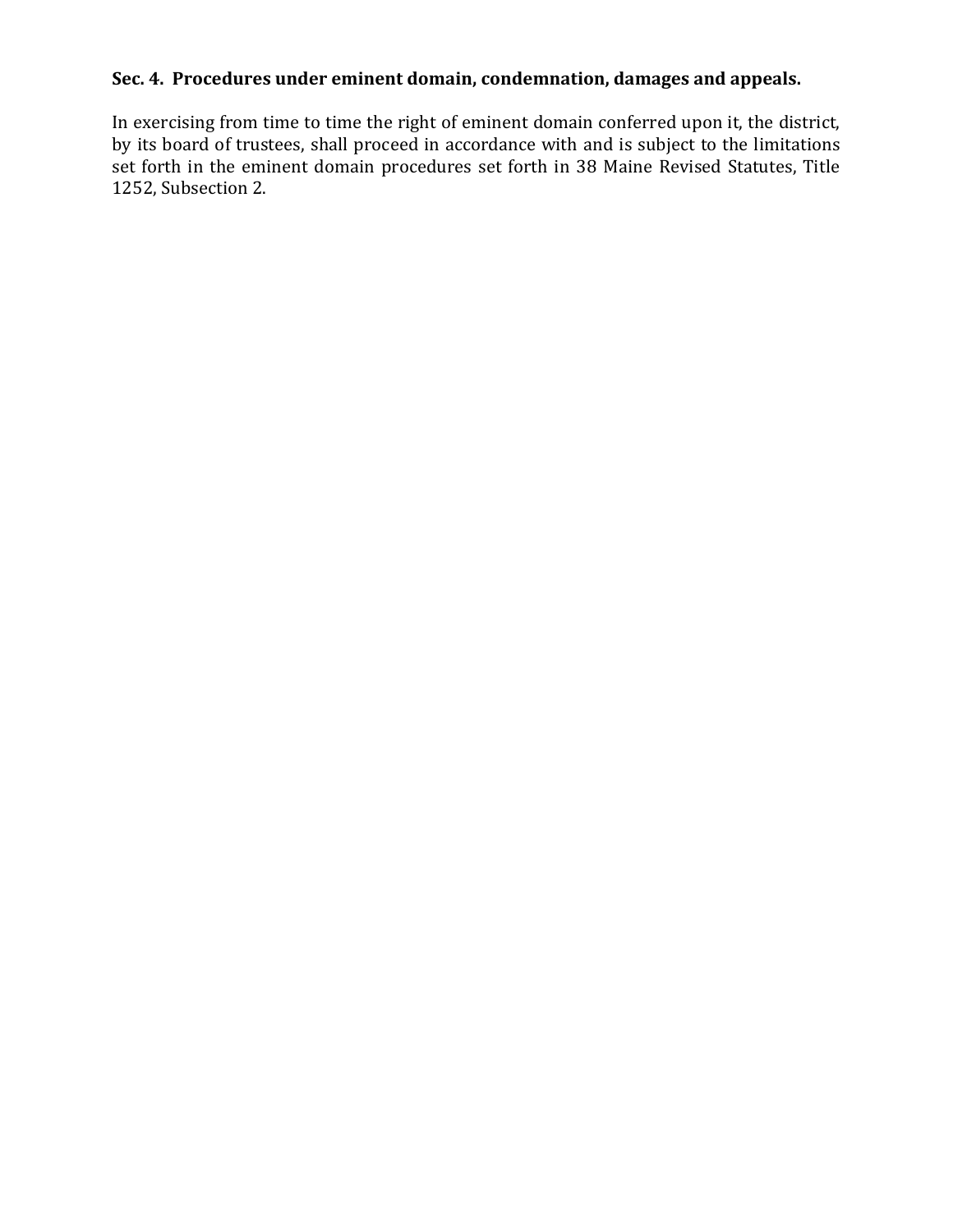# **Sec. 4. Procedures under eminent domain, condemnation, damages and appeals.**

In exercising from time to time the right of eminent domain conferred upon it, the district, by its board of trustees, shall proceed in accordance with and is subject to the limitations set forth in the eminent domain procedures set forth in 38 Maine Revised Statutes, Title 1252, Subsection 2.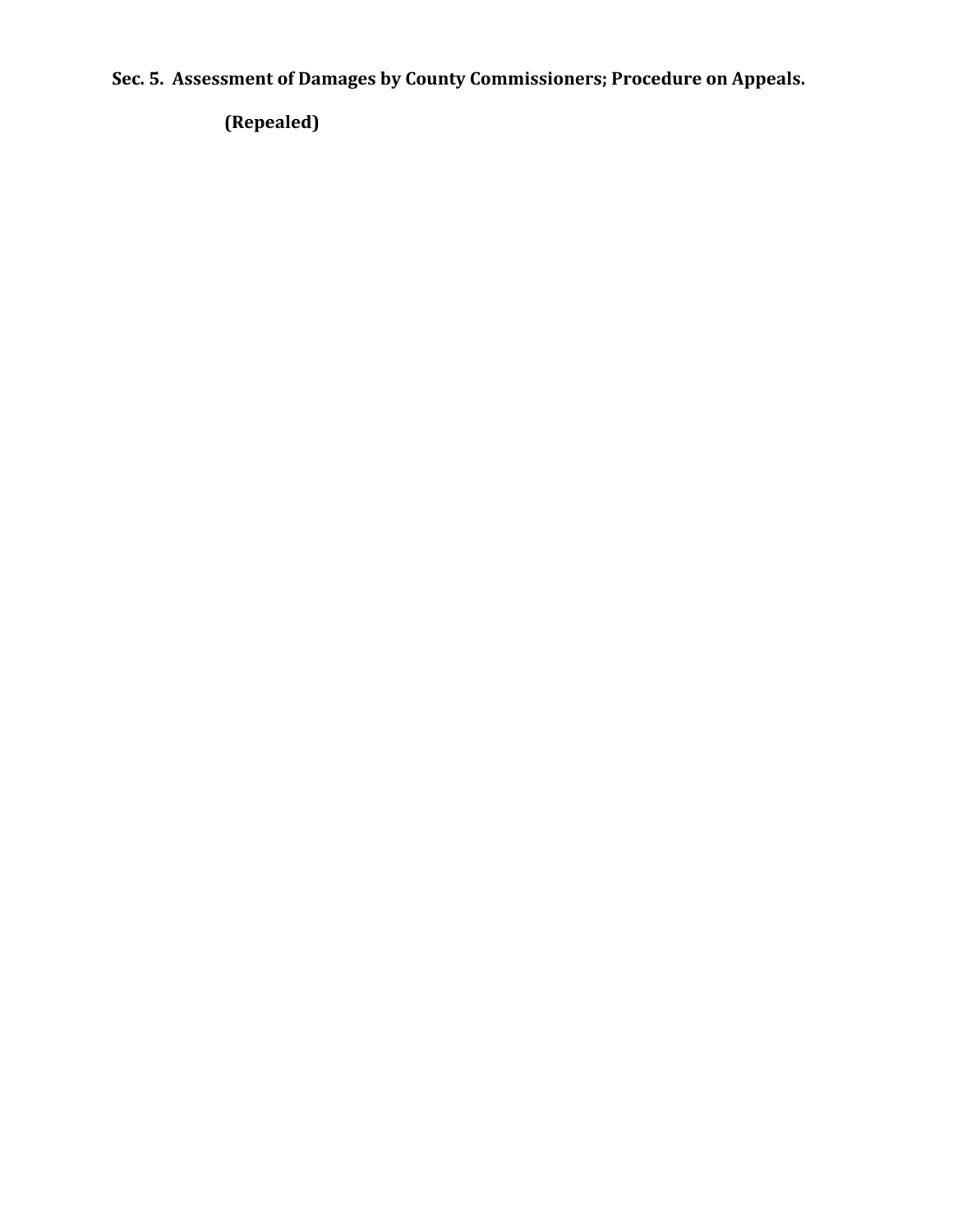**Sec. 5. Assessment of Damages by County Commissioners; Procedure on Appeals.**

**(Repealed)**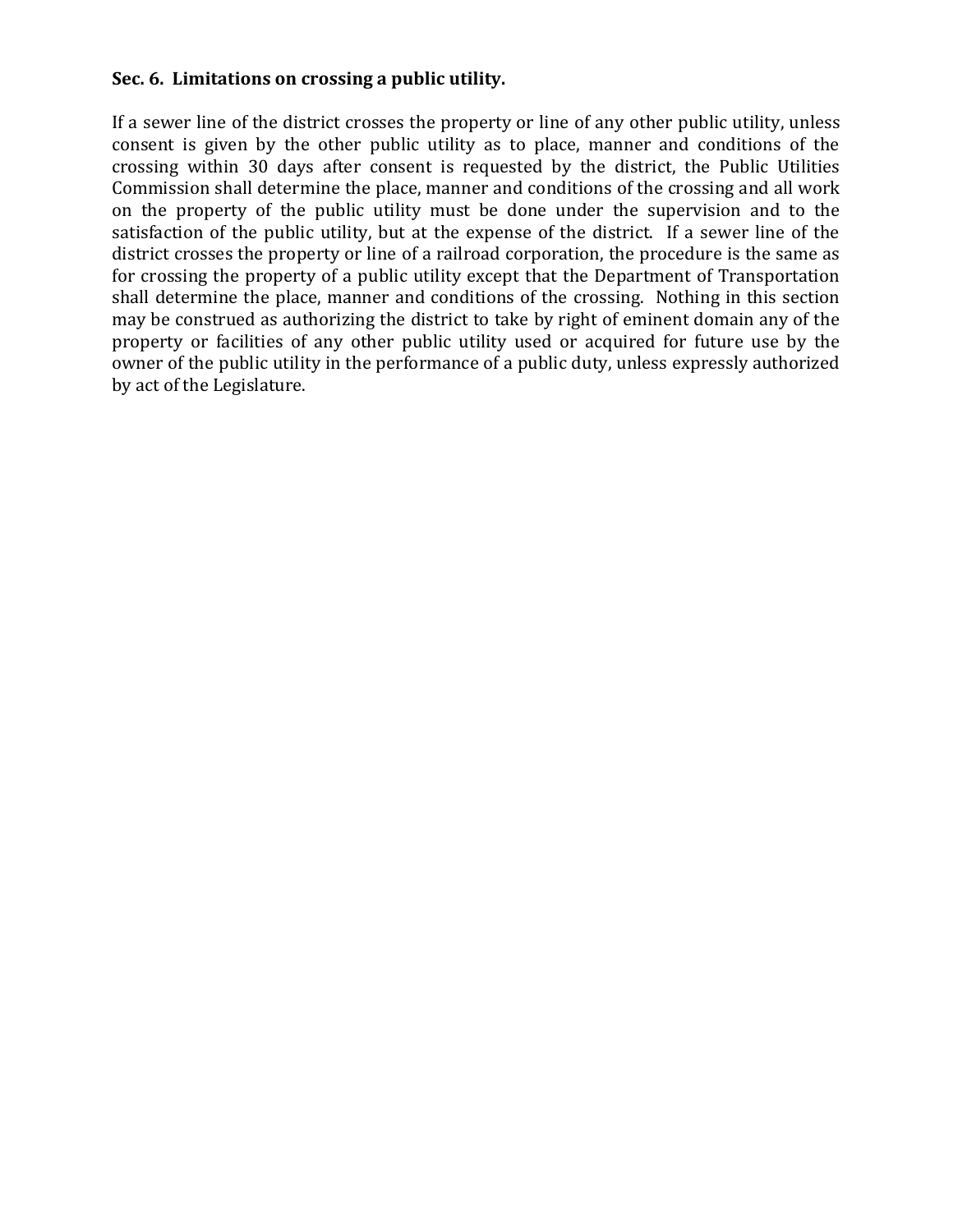## **Sec. 6. Limitations on crossing a public utility.**

If a sewer line of the district crosses the property or line of any other public utility, unless consent is given by the other public utility as to place, manner and conditions of the crossing within 30 days after consent is requested by the district, the Public Utilities Commission shall determine the place, manner and conditions of the crossing and all work on the property of the public utility must be done under the supervision and to the satisfaction of the public utility, but at the expense of the district. If a sewer line of the district crosses the property or line of a railroad corporation, the procedure is the same as for crossing the property of a public utility except that the Department of Transportation shall determine the place, manner and conditions of the crossing. Nothing in this section may be construed as authorizing the district to take by right of eminent domain any of the property or facilities of any other public utility used or acquired for future use by the owner of the public utility in the performance of a public duty, unless expressly authorized by act of the Legislature.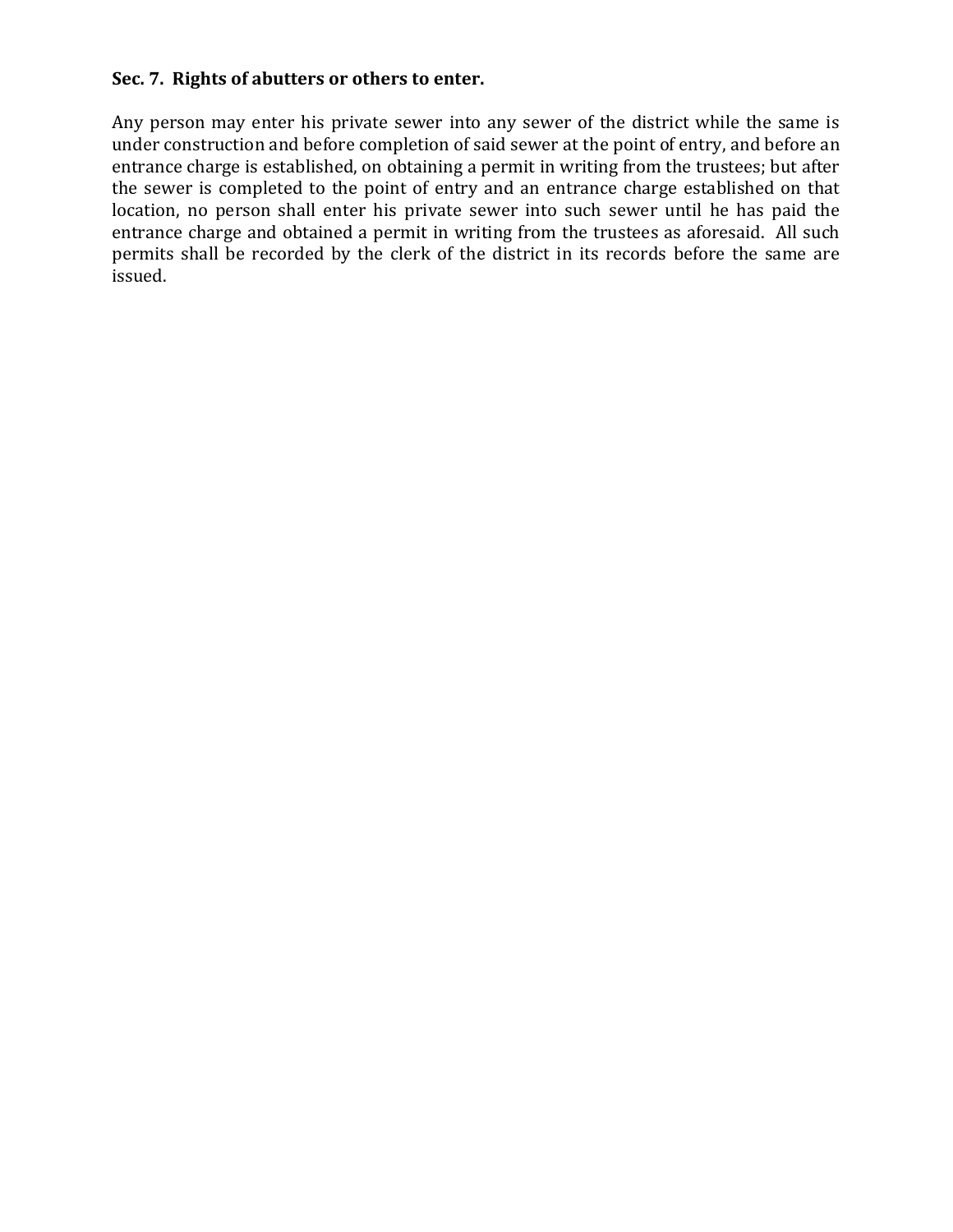# **Sec. 7. Rights of abutters or others to enter.**

Any person may enter his private sewer into any sewer of the district while the same is under construction and before completion of said sewer at the point of entry, and before an entrance charge is established, on obtaining a permit in writing from the trustees; but after the sewer is completed to the point of entry and an entrance charge established on that location, no person shall enter his private sewer into such sewer until he has paid the entrance charge and obtained a permit in writing from the trustees as aforesaid. All such permits shall be recorded by the clerk of the district in its records before the same are issued.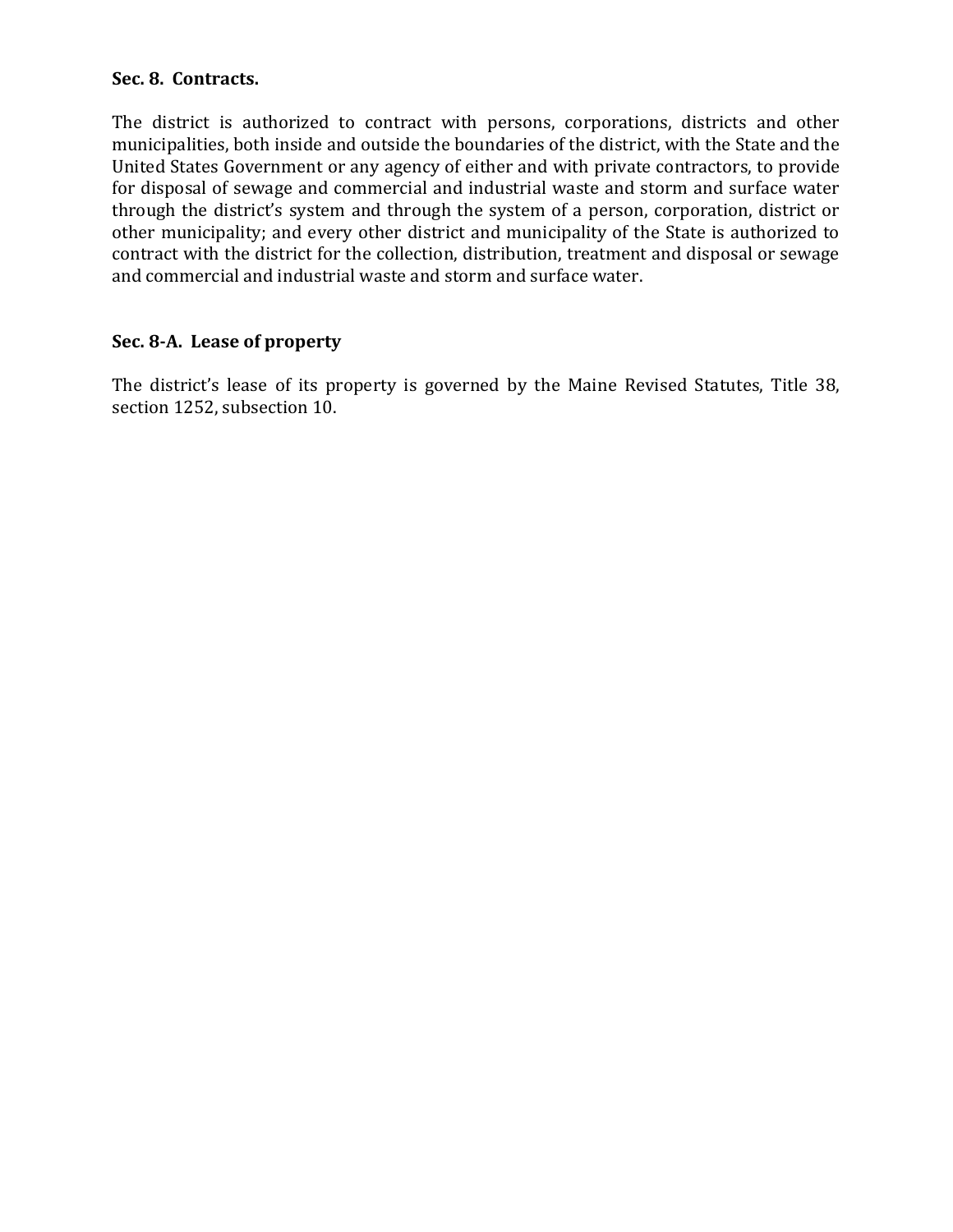## **Sec. 8. Contracts.**

The district is authorized to contract with persons, corporations, districts and other municipalities, both inside and outside the boundaries of the district, with the State and the United States Government or any agency of either and with private contractors, to provide for disposal of sewage and commercial and industrial waste and storm and surface water through the district's system and through the system of a person, corporation, district or other municipality; and every other district and municipality of the State is authorized to contract with the district for the collection, distribution, treatment and disposal or sewage and commercial and industrial waste and storm and surface water.

#### **Sec. 8-A. Lease of property**

The district's lease of its property is governed by the Maine Revised Statutes, Title 38, section 1252, subsection 10.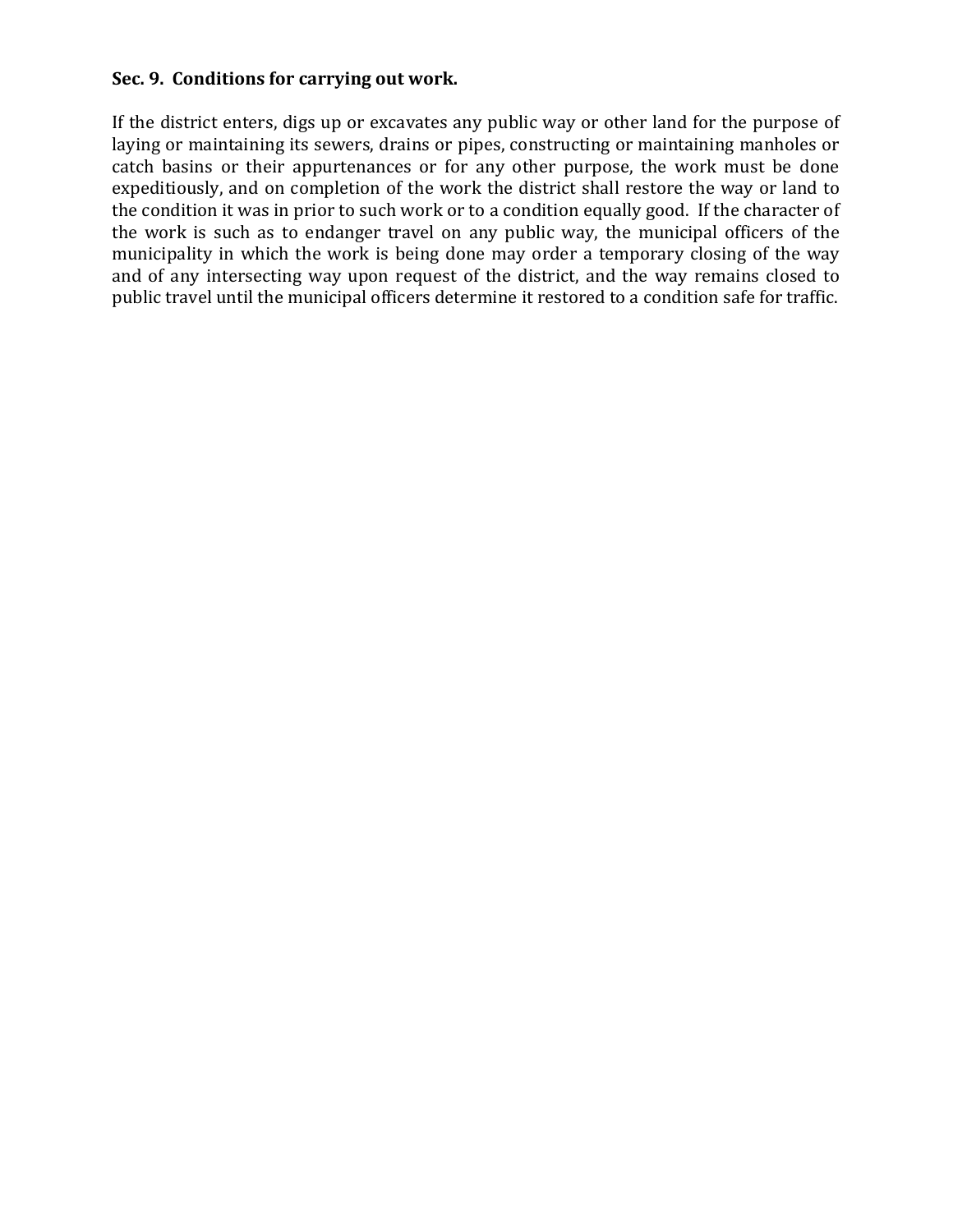#### **Sec. 9. Conditions for carrying out work.**

If the district enters, digs up or excavates any public way or other land for the purpose of laying or maintaining its sewers, drains or pipes, constructing or maintaining manholes or catch basins or their appurtenances or for any other purpose, the work must be done expeditiously, and on completion of the work the district shall restore the way or land to the condition it was in prior to such work or to a condition equally good. If the character of the work is such as to endanger travel on any public way, the municipal officers of the municipality in which the work is being done may order a temporary closing of the way and of any intersecting way upon request of the district, and the way remains closed to public travel until the municipal officers determine it restored to a condition safe for traffic.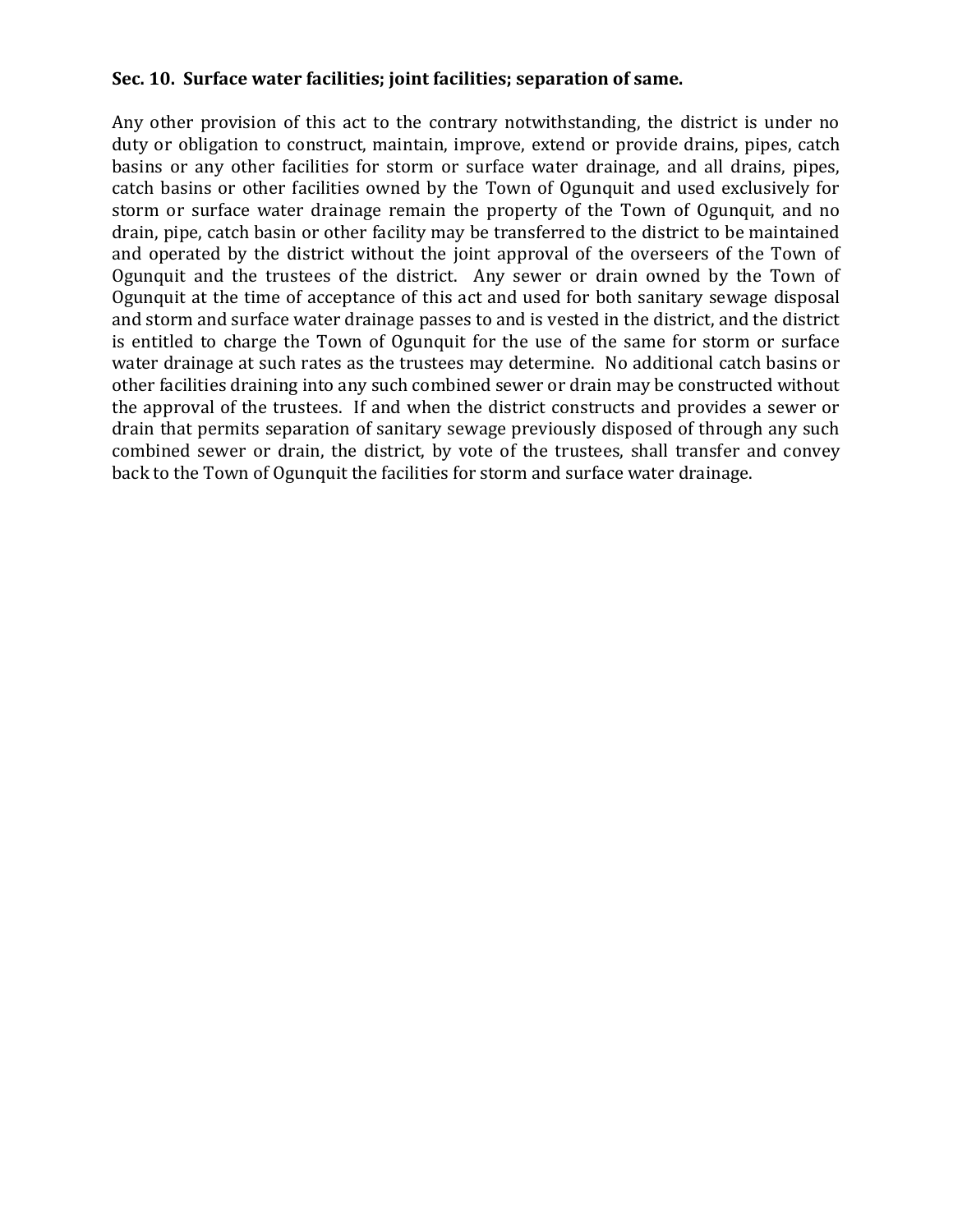## **Sec. 10. Surface water facilities; joint facilities; separation of same.**

Any other provision of this act to the contrary notwithstanding, the district is under no duty or obligation to construct, maintain, improve, extend or provide drains, pipes, catch basins or any other facilities for storm or surface water drainage, and all drains, pipes, catch basins or other facilities owned by the Town of Ogunquit and used exclusively for storm or surface water drainage remain the property of the Town of Ogunquit, and no drain, pipe, catch basin or other facility may be transferred to the district to be maintained and operated by the district without the joint approval of the overseers of the Town of Ogunquit and the trustees of the district. Any sewer or drain owned by the Town of Ogunquit at the time of acceptance of this act and used for both sanitary sewage disposal and storm and surface water drainage passes to and is vested in the district, and the district is entitled to charge the Town of Ogunquit for the use of the same for storm or surface water drainage at such rates as the trustees may determine. No additional catch basins or other facilities draining into any such combined sewer or drain may be constructed without the approval of the trustees. If and when the district constructs and provides a sewer or drain that permits separation of sanitary sewage previously disposed of through any such combined sewer or drain, the district, by vote of the trustees, shall transfer and convey back to the Town of Ogunquit the facilities for storm and surface water drainage.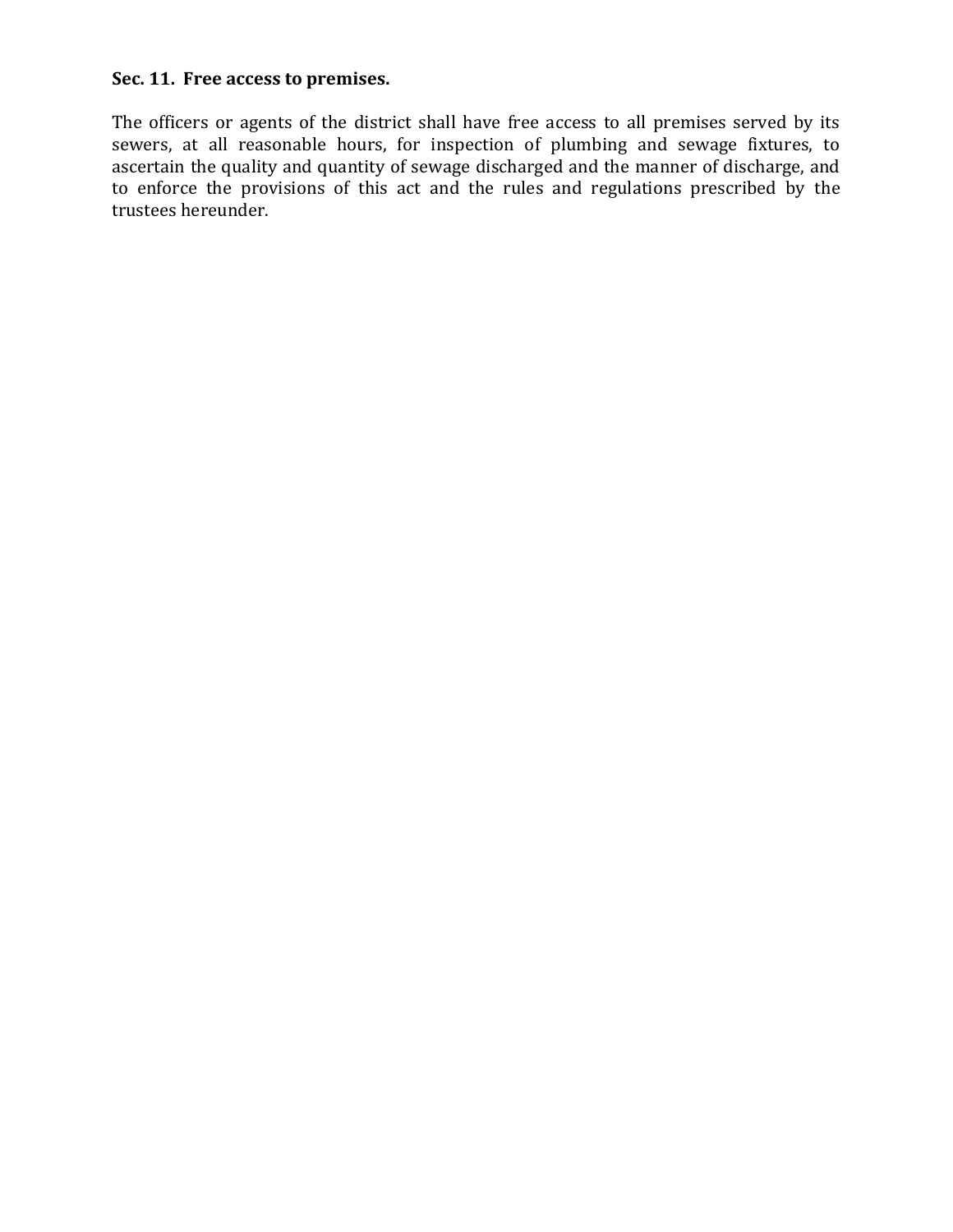# **Sec. 11. Free access to premises.**

The officers or agents of the district shall have free access to all premises served by its sewers, at all reasonable hours, for inspection of plumbing and sewage fixtures, to ascertain the quality and quantity of sewage discharged and the manner of discharge, and to enforce the provisions of this act and the rules and regulations prescribed by the trustees hereunder.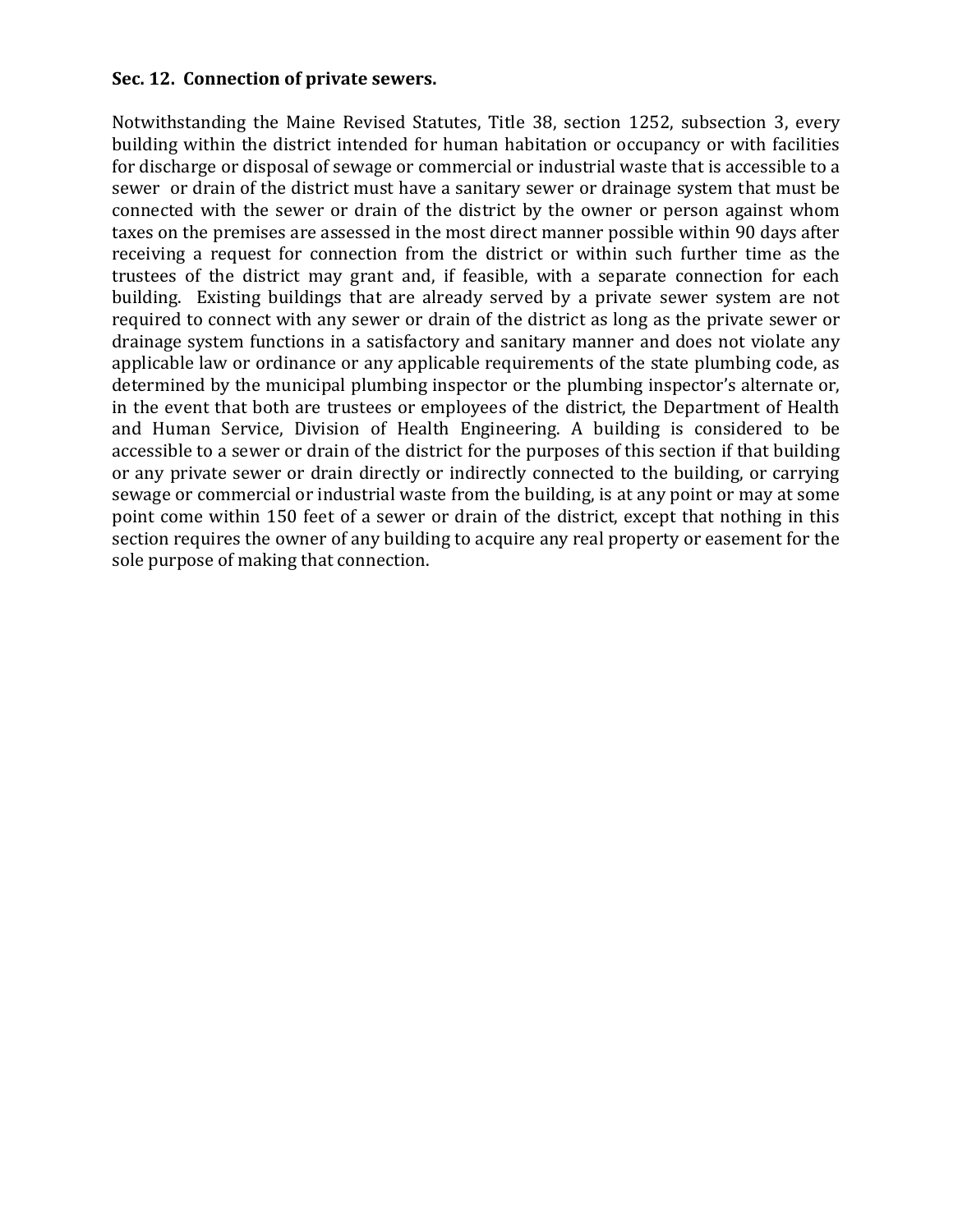#### **Sec. 12. Connection of private sewers.**

Notwithstanding the Maine Revised Statutes, Title 38, section 1252, subsection 3, every building within the district intended for human habitation or occupancy or with facilities for discharge or disposal of sewage or commercial or industrial waste that is accessible to a sewer or drain of the district must have a sanitary sewer or drainage system that must be connected with the sewer or drain of the district by the owner or person against whom taxes on the premises are assessed in the most direct manner possible within 90 days after receiving a request for connection from the district or within such further time as the trustees of the district may grant and, if feasible, with a separate connection for each building. Existing buildings that are already served by a private sewer system are not required to connect with any sewer or drain of the district as long as the private sewer or drainage system functions in a satisfactory and sanitary manner and does not violate any applicable law or ordinance or any applicable requirements of the state plumbing code, as determined by the municipal plumbing inspector or the plumbing inspector's alternate or, in the event that both are trustees or employees of the district, the Department of Health and Human Service, Division of Health Engineering. A building is considered to be accessible to a sewer or drain of the district for the purposes of this section if that building or any private sewer or drain directly or indirectly connected to the building, or carrying sewage or commercial or industrial waste from the building, is at any point or may at some point come within 150 feet of a sewer or drain of the district, except that nothing in this section requires the owner of any building to acquire any real property or easement for the sole purpose of making that connection.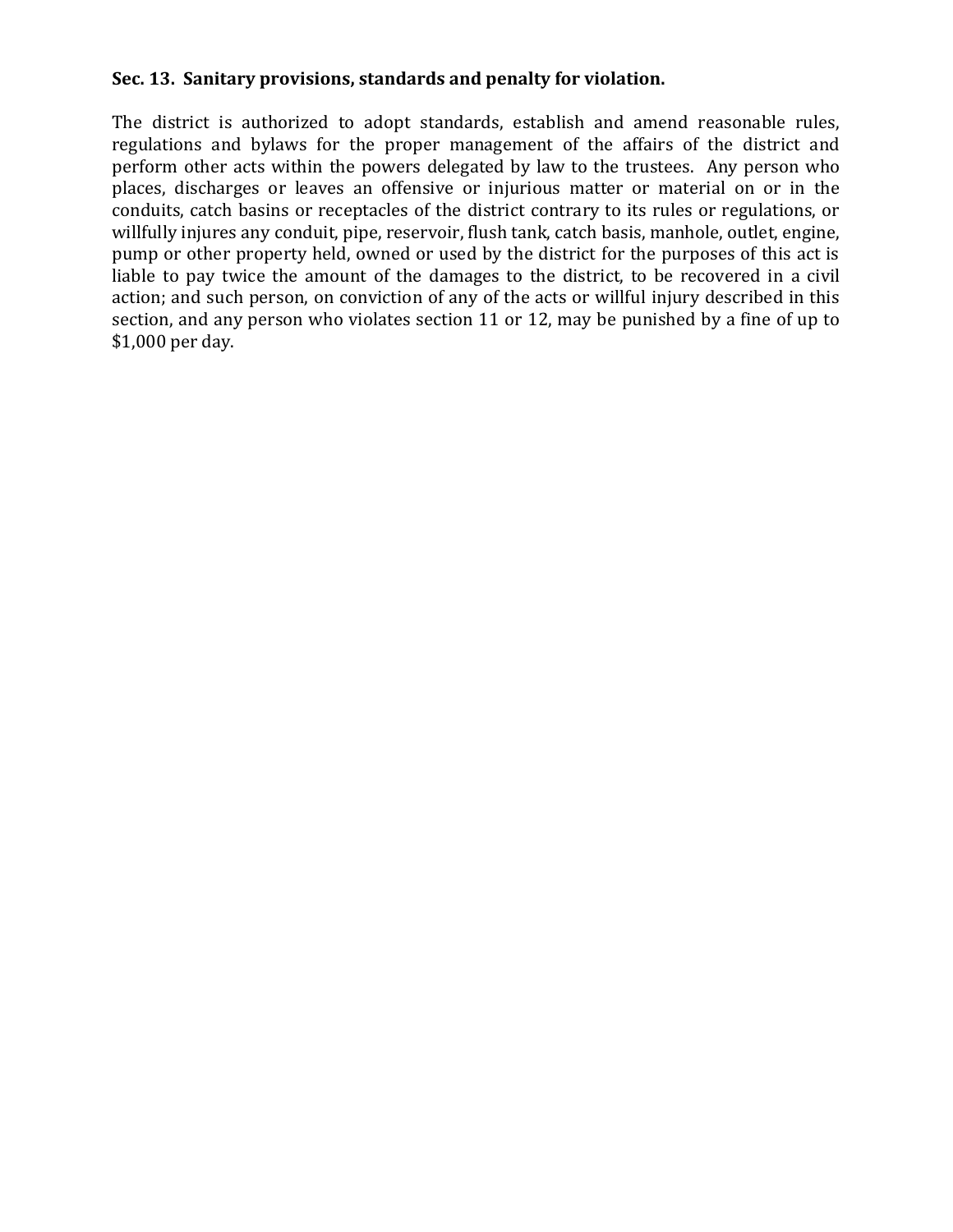# **Sec. 13. Sanitary provisions, standards and penalty for violation.**

The district is authorized to adopt standards, establish and amend reasonable rules, regulations and bylaws for the proper management of the affairs of the district and perform other acts within the powers delegated by law to the trustees. Any person who places, discharges or leaves an offensive or injurious matter or material on or in the conduits, catch basins or receptacles of the district contrary to its rules or regulations, or willfully injures any conduit, pipe, reservoir, flush tank, catch basis, manhole, outlet, engine, pump or other property held, owned or used by the district for the purposes of this act is liable to pay twice the amount of the damages to the district, to be recovered in a civil action; and such person, on conviction of any of the acts or willful injury described in this section, and any person who violates section 11 or 12, may be punished by a fine of up to \$1,000 per day.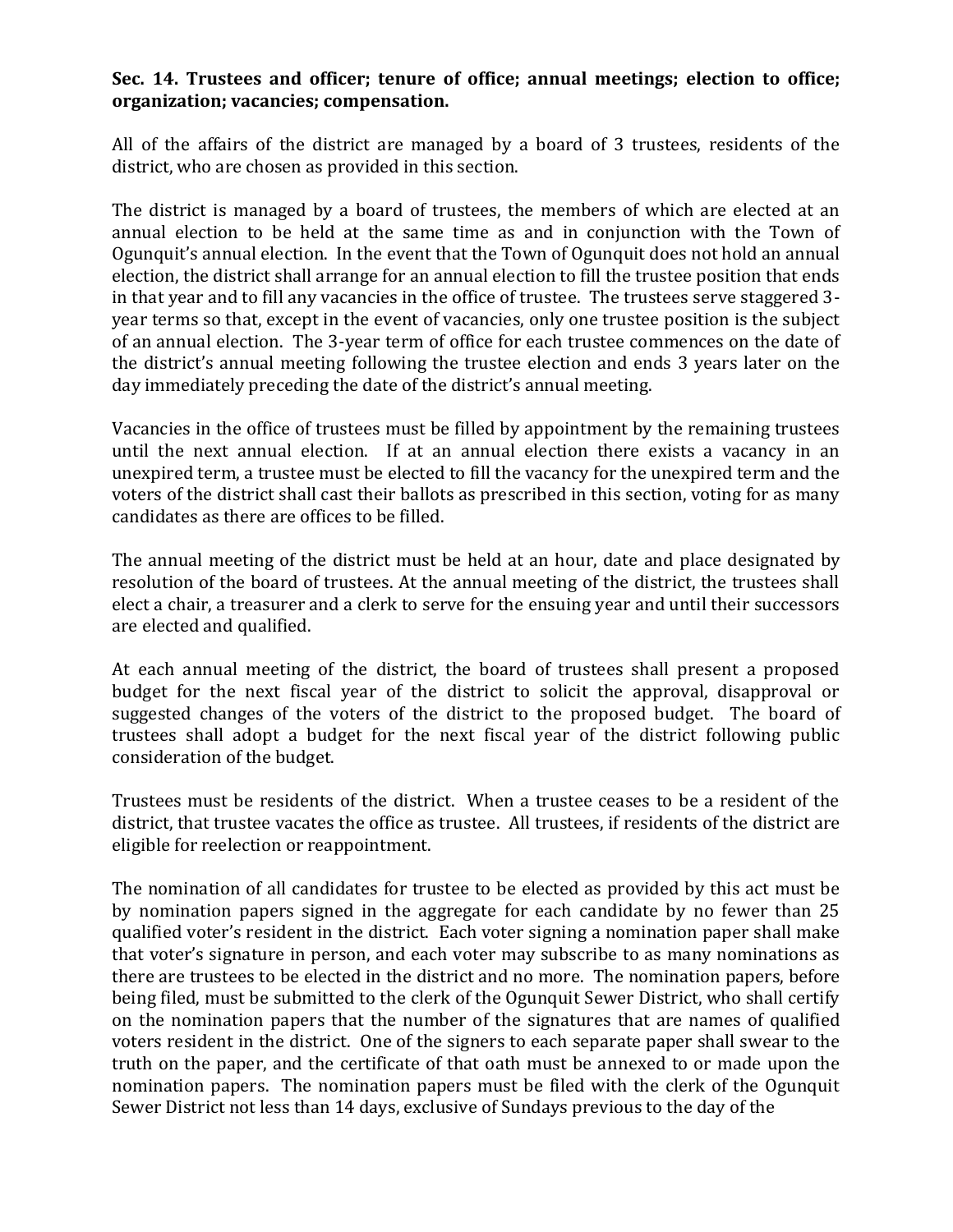## **Sec. 14. Trustees and officer; tenure of office; annual meetings; election to office; organization; vacancies; compensation.**

All of the affairs of the district are managed by a board of 3 trustees, residents of the district, who are chosen as provided in this section.

The district is managed by a board of trustees, the members of which are elected at an annual election to be held at the same time as and in conjunction with the Town of Ogunquit's annual election. In the event that the Town of Ogunquit does not hold an annual election, the district shall arrange for an annual election to fill the trustee position that ends in that year and to fill any vacancies in the office of trustee. The trustees serve staggered 3 year terms so that, except in the event of vacancies, only one trustee position is the subject of an annual election. The 3-year term of office for each trustee commences on the date of the district's annual meeting following the trustee election and ends 3 years later on the day immediately preceding the date of the district's annual meeting.

Vacancies in the office of trustees must be filled by appointment by the remaining trustees until the next annual election. If at an annual election there exists a vacancy in an unexpired term, a trustee must be elected to fill the vacancy for the unexpired term and the voters of the district shall cast their ballots as prescribed in this section, voting for as many candidates as there are offices to be filled.

The annual meeting of the district must be held at an hour, date and place designated by resolution of the board of trustees. At the annual meeting of the district, the trustees shall elect a chair, a treasurer and a clerk to serve for the ensuing year and until their successors are elected and qualified.

At each annual meeting of the district, the board of trustees shall present a proposed budget for the next fiscal year of the district to solicit the approval, disapproval or suggested changes of the voters of the district to the proposed budget. The board of trustees shall adopt a budget for the next fiscal year of the district following public consideration of the budget.

Trustees must be residents of the district. When a trustee ceases to be a resident of the district, that trustee vacates the office as trustee. All trustees, if residents of the district are eligible for reelection or reappointment.

The nomination of all candidates for trustee to be elected as provided by this act must be by nomination papers signed in the aggregate for each candidate by no fewer than 25 qualified voter's resident in the district. Each voter signing a nomination paper shall make that voter's signature in person, and each voter may subscribe to as many nominations as there are trustees to be elected in the district and no more. The nomination papers, before being filed, must be submitted to the clerk of the Ogunquit Sewer District, who shall certify on the nomination papers that the number of the signatures that are names of qualified voters resident in the district. One of the signers to each separate paper shall swear to the truth on the paper, and the certificate of that oath must be annexed to or made upon the nomination papers. The nomination papers must be filed with the clerk of the Ogunquit Sewer District not less than 14 days, exclusive of Sundays previous to the day of the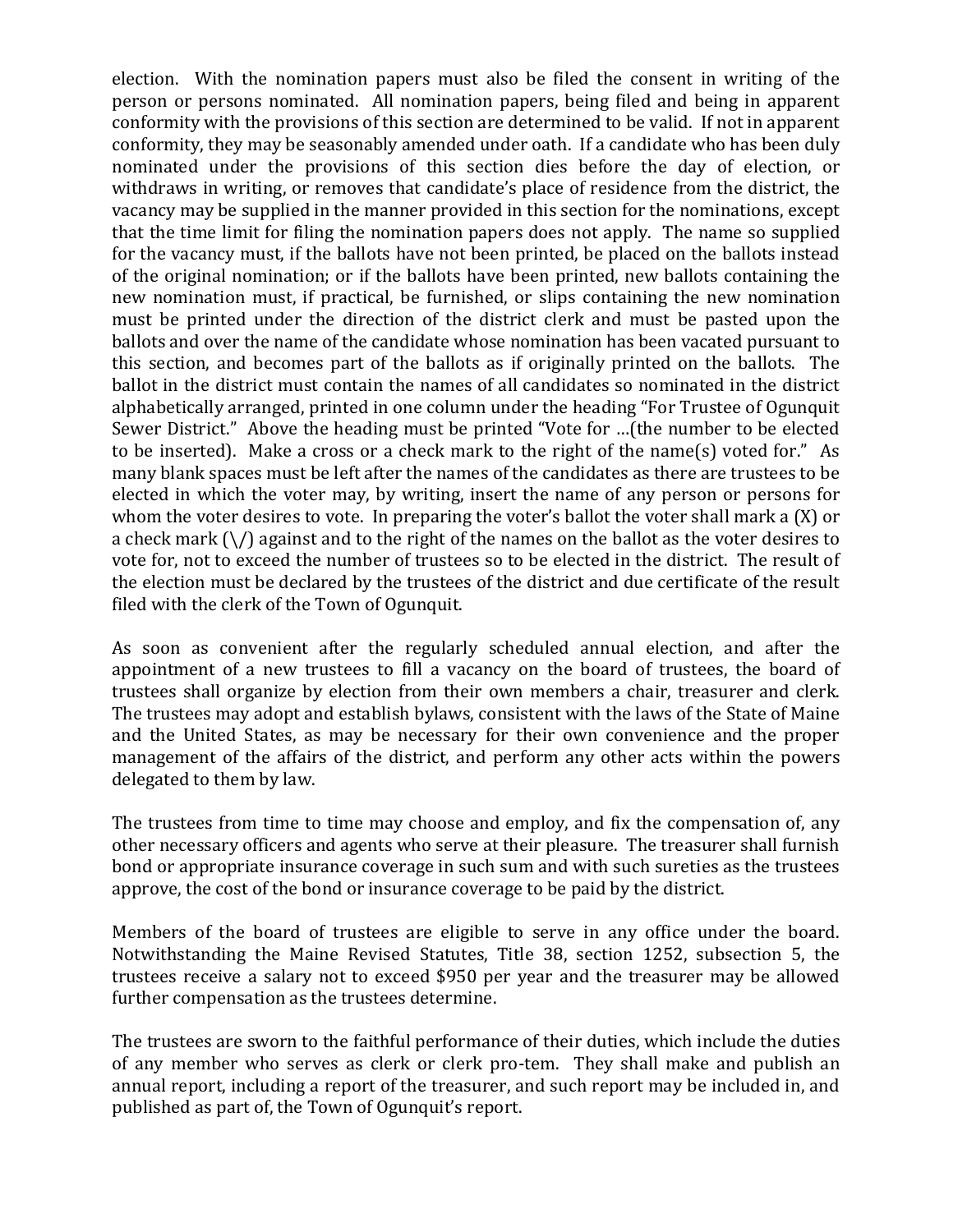election. With the nomination papers must also be filed the consent in writing of the person or persons nominated. All nomination papers, being filed and being in apparent conformity with the provisions of this section are determined to be valid. If not in apparent conformity, they may be seasonably amended under oath. If a candidate who has been duly nominated under the provisions of this section dies before the day of election, or withdraws in writing, or removes that candidate's place of residence from the district, the vacancy may be supplied in the manner provided in this section for the nominations, except that the time limit for filing the nomination papers does not apply. The name so supplied for the vacancy must, if the ballots have not been printed, be placed on the ballots instead of the original nomination; or if the ballots have been printed, new ballots containing the new nomination must, if practical, be furnished, or slips containing the new nomination must be printed under the direction of the district clerk and must be pasted upon the ballots and over the name of the candidate whose nomination has been vacated pursuant to this section, and becomes part of the ballots as if originally printed on the ballots. The ballot in the district must contain the names of all candidates so nominated in the district alphabetically arranged, printed in one column under the heading "For Trustee of Ogunquit Sewer District." Above the heading must be printed "Vote for …(the number to be elected to be inserted). Make a cross or a check mark to the right of the name(s) voted for." As many blank spaces must be left after the names of the candidates as there are trustees to be elected in which the voter may, by writing, insert the name of any person or persons for whom the voter desires to vote. In preparing the voter's ballot the voter shall mark a (X) or a check mark  $(\nabla)$  against and to the right of the names on the ballot as the voter desires to vote for, not to exceed the number of trustees so to be elected in the district. The result of the election must be declared by the trustees of the district and due certificate of the result filed with the clerk of the Town of Ogunquit.

As soon as convenient after the regularly scheduled annual election, and after the appointment of a new trustees to fill a vacancy on the board of trustees, the board of trustees shall organize by election from their own members a chair, treasurer and clerk. The trustees may adopt and establish bylaws, consistent with the laws of the State of Maine and the United States, as may be necessary for their own convenience and the proper management of the affairs of the district, and perform any other acts within the powers delegated to them by law.

The trustees from time to time may choose and employ, and fix the compensation of, any other necessary officers and agents who serve at their pleasure. The treasurer shall furnish bond or appropriate insurance coverage in such sum and with such sureties as the trustees approve, the cost of the bond or insurance coverage to be paid by the district.

Members of the board of trustees are eligible to serve in any office under the board. Notwithstanding the Maine Revised Statutes, Title 38, section 1252, subsection 5, the trustees receive a salary not to exceed \$950 per year and the treasurer may be allowed further compensation as the trustees determine.

The trustees are sworn to the faithful performance of their duties, which include the duties of any member who serves as clerk or clerk pro-tem. They shall make and publish an annual report, including a report of the treasurer, and such report may be included in, and published as part of, the Town of Ogunquit's report.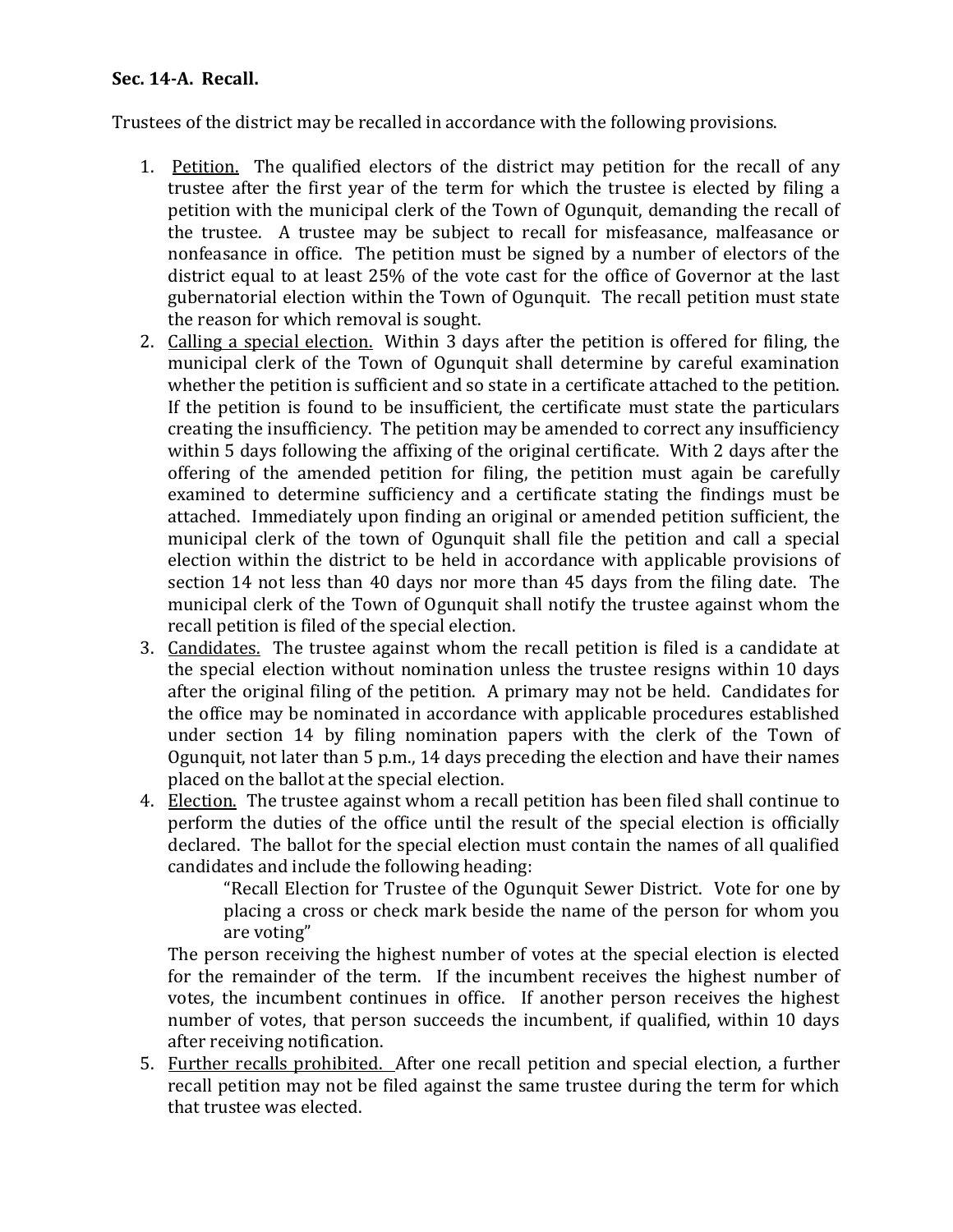# **Sec. 14-A. Recall.**

Trustees of the district may be recalled in accordance with the following provisions.

- 1. Petition. The qualified electors of the district may petition for the recall of any trustee after the first year of the term for which the trustee is elected by filing a petition with the municipal clerk of the Town of Ogunquit, demanding the recall of the trustee. A trustee may be subject to recall for misfeasance, malfeasance or nonfeasance in office. The petition must be signed by a number of electors of the district equal to at least 25% of the vote cast for the office of Governor at the last gubernatorial election within the Town of Ogunquit. The recall petition must state the reason for which removal is sought.
- 2. Calling a special election. Within 3 days after the petition is offered for filing, the municipal clerk of the Town of Ogunquit shall determine by careful examination whether the petition is sufficient and so state in a certificate attached to the petition. If the petition is found to be insufficient, the certificate must state the particulars creating the insufficiency. The petition may be amended to correct any insufficiency within 5 days following the affixing of the original certificate. With 2 days after the offering of the amended petition for filing, the petition must again be carefully examined to determine sufficiency and a certificate stating the findings must be attached. Immediately upon finding an original or amended petition sufficient, the municipal clerk of the town of Ogunquit shall file the petition and call a special election within the district to be held in accordance with applicable provisions of section 14 not less than 40 days nor more than 45 days from the filing date. The municipal clerk of the Town of Ogunquit shall notify the trustee against whom the recall petition is filed of the special election.
- 3. Candidates. The trustee against whom the recall petition is filed is a candidate at the special election without nomination unless the trustee resigns within 10 days after the original filing of the petition. A primary may not be held. Candidates for the office may be nominated in accordance with applicable procedures established under section 14 by filing nomination papers with the clerk of the Town of Ogunquit, not later than 5 p.m., 14 days preceding the election and have their names placed on the ballot at the special election.
- 4. Election. The trustee against whom a recall petition has been filed shall continue to perform the duties of the office until the result of the special election is officially declared. The ballot for the special election must contain the names of all qualified candidates and include the following heading:

"Recall Election for Trustee of the Ogunquit Sewer District. Vote for one by placing a cross or check mark beside the name of the person for whom you are voting"

The person receiving the highest number of votes at the special election is elected for the remainder of the term. If the incumbent receives the highest number of votes, the incumbent continues in office. If another person receives the highest number of votes, that person succeeds the incumbent, if qualified, within 10 days after receiving notification.

5. Further recalls prohibited. After one recall petition and special election, a further recall petition may not be filed against the same trustee during the term for which that trustee was elected.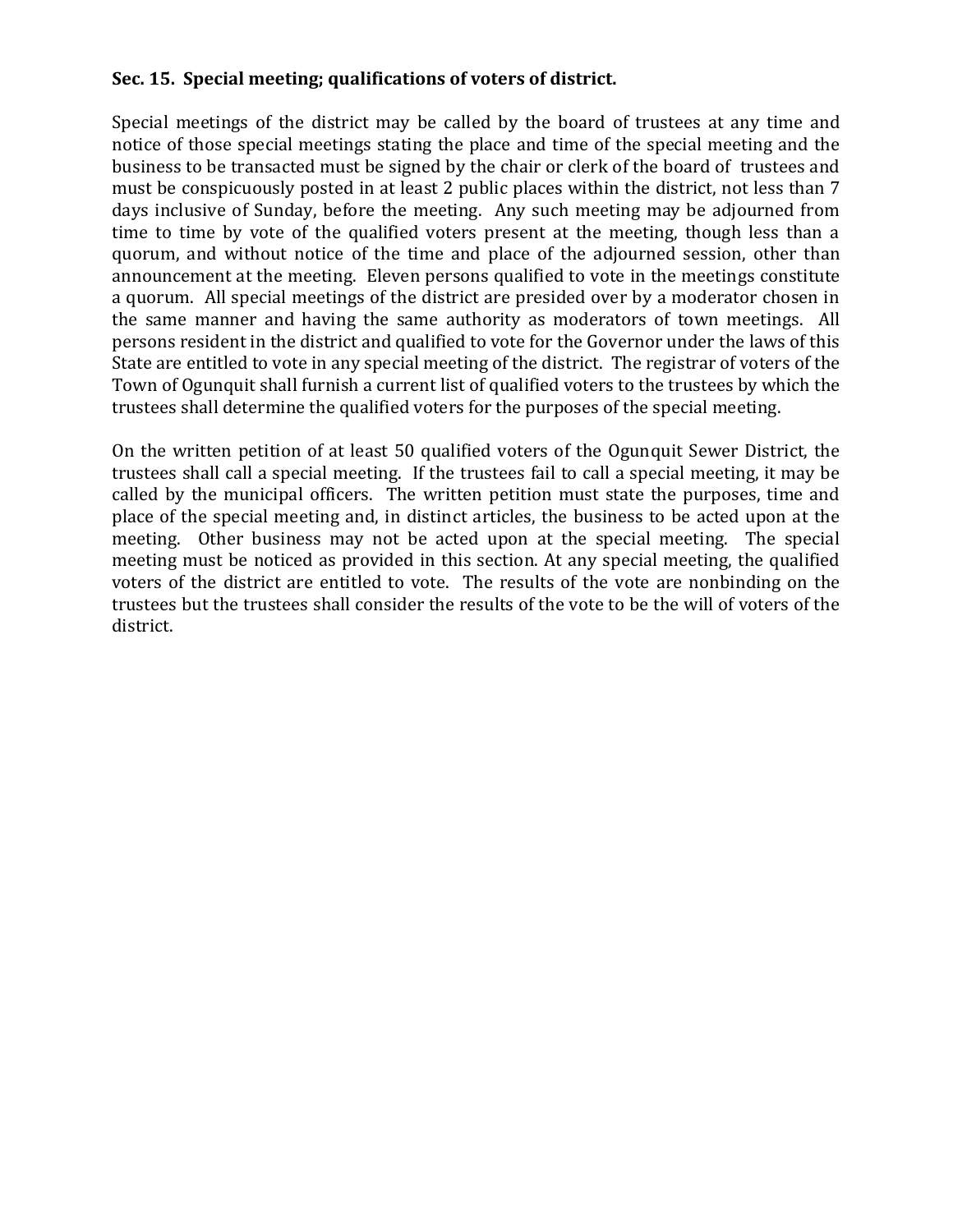# **Sec. 15. Special meeting; qualifications of voters of district.**

Special meetings of the district may be called by the board of trustees at any time and notice of those special meetings stating the place and time of the special meeting and the business to be transacted must be signed by the chair or clerk of the board of trustees and must be conspicuously posted in at least 2 public places within the district, not less than 7 days inclusive of Sunday, before the meeting. Any such meeting may be adjourned from time to time by vote of the qualified voters present at the meeting, though less than a quorum, and without notice of the time and place of the adjourned session, other than announcement at the meeting. Eleven persons qualified to vote in the meetings constitute a quorum. All special meetings of the district are presided over by a moderator chosen in the same manner and having the same authority as moderators of town meetings. All persons resident in the district and qualified to vote for the Governor under the laws of this State are entitled to vote in any special meeting of the district. The registrar of voters of the Town of Ogunquit shall furnish a current list of qualified voters to the trustees by which the trustees shall determine the qualified voters for the purposes of the special meeting.

On the written petition of at least 50 qualified voters of the Ogunquit Sewer District, the trustees shall call a special meeting. If the trustees fail to call a special meeting, it may be called by the municipal officers. The written petition must state the purposes, time and place of the special meeting and, in distinct articles, the business to be acted upon at the meeting. Other business may not be acted upon at the special meeting. The special meeting must be noticed as provided in this section. At any special meeting, the qualified voters of the district are entitled to vote. The results of the vote are nonbinding on the trustees but the trustees shall consider the results of the vote to be the will of voters of the district.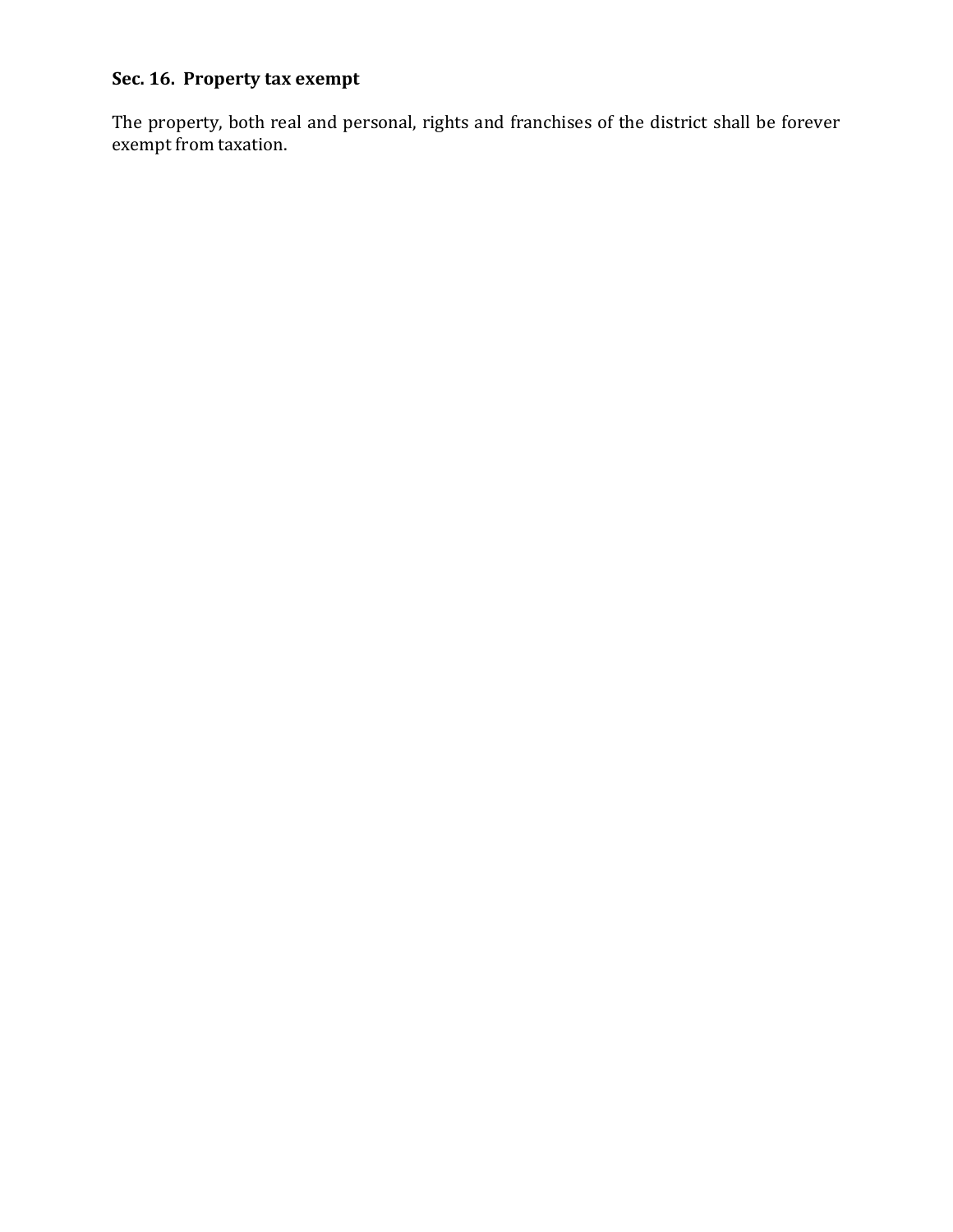# **Sec. 16. Property tax exempt**

The property, both real and personal, rights and franchises of the district shall be forever exempt from taxation.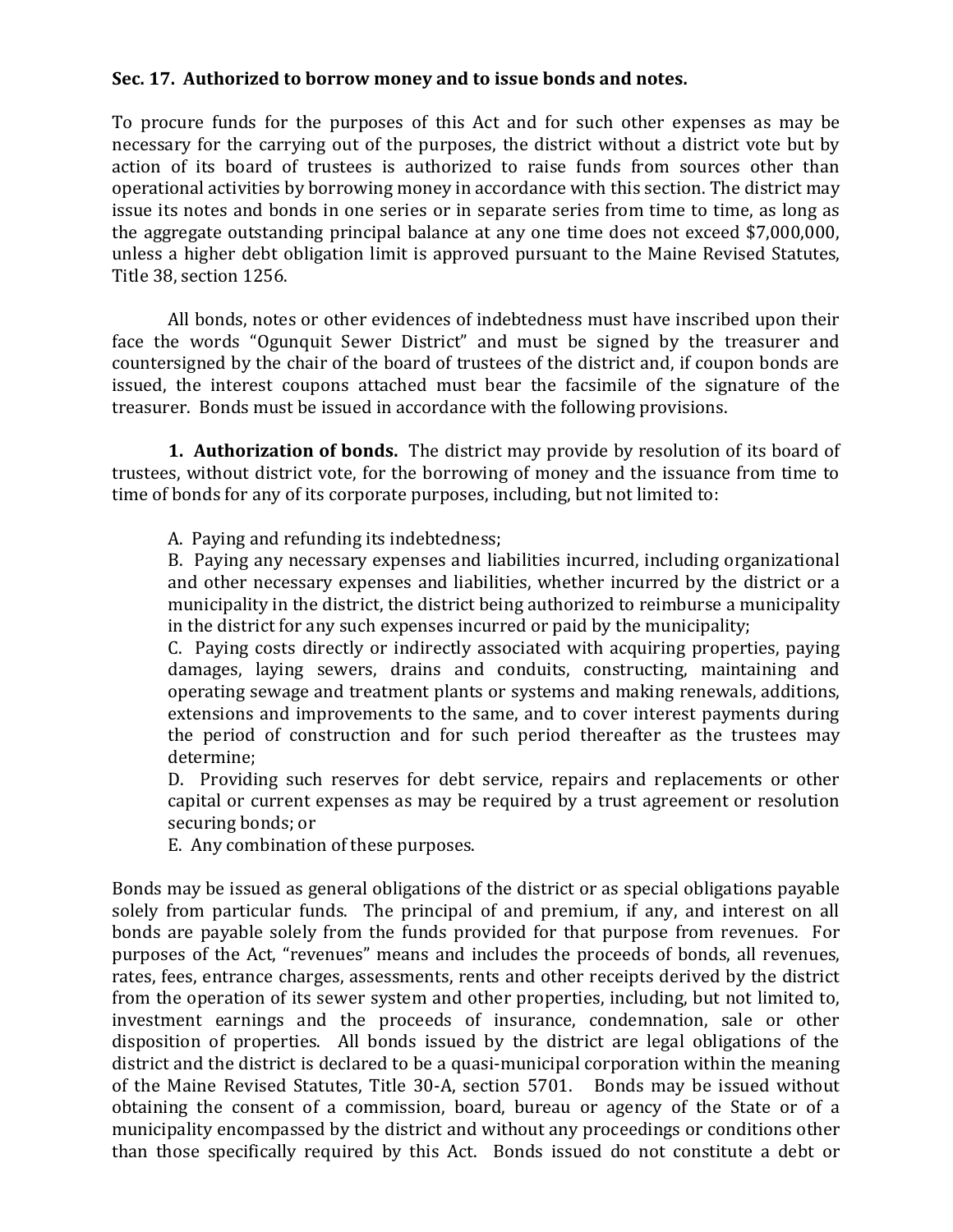# **Sec. 17. Authorized to borrow money and to issue bonds and notes.**

To procure funds for the purposes of this Act and for such other expenses as may be necessary for the carrying out of the purposes, the district without a district vote but by action of its board of trustees is authorized to raise funds from sources other than operational activities by borrowing money in accordance with this section. The district may issue its notes and bonds in one series or in separate series from time to time, as long as the aggregate outstanding principal balance at any one time does not exceed \$7,000,000, unless a higher debt obligation limit is approved pursuant to the Maine Revised Statutes, Title 38, section 1256.

All bonds, notes or other evidences of indebtedness must have inscribed upon their face the words "Ogunquit Sewer District" and must be signed by the treasurer and countersigned by the chair of the board of trustees of the district and, if coupon bonds are issued, the interest coupons attached must bear the facsimile of the signature of the treasurer. Bonds must be issued in accordance with the following provisions.

**1. Authorization of bonds.** The district may provide by resolution of its board of trustees, without district vote, for the borrowing of money and the issuance from time to time of bonds for any of its corporate purposes, including, but not limited to:

A. Paying and refunding its indebtedness;

B. Paying any necessary expenses and liabilities incurred, including organizational and other necessary expenses and liabilities, whether incurred by the district or a municipality in the district, the district being authorized to reimburse a municipality in the district for any such expenses incurred or paid by the municipality;

C. Paying costs directly or indirectly associated with acquiring properties, paying damages, laying sewers, drains and conduits, constructing, maintaining and operating sewage and treatment plants or systems and making renewals, additions, extensions and improvements to the same, and to cover interest payments during the period of construction and for such period thereafter as the trustees may determine;

D. Providing such reserves for debt service, repairs and replacements or other capital or current expenses as may be required by a trust agreement or resolution securing bonds; or

E. Any combination of these purposes.

Bonds may be issued as general obligations of the district or as special obligations payable solely from particular funds. The principal of and premium, if any, and interest on all bonds are payable solely from the funds provided for that purpose from revenues. For purposes of the Act, "revenues" means and includes the proceeds of bonds, all revenues, rates, fees, entrance charges, assessments, rents and other receipts derived by the district from the operation of its sewer system and other properties, including, but not limited to, investment earnings and the proceeds of insurance, condemnation, sale or other disposition of properties. All bonds issued by the district are legal obligations of the district and the district is declared to be a quasi-municipal corporation within the meaning of the Maine Revised Statutes, Title 30-A, section 5701. Bonds may be issued without obtaining the consent of a commission, board, bureau or agency of the State or of a municipality encompassed by the district and without any proceedings or conditions other than those specifically required by this Act. Bonds issued do not constitute a debt or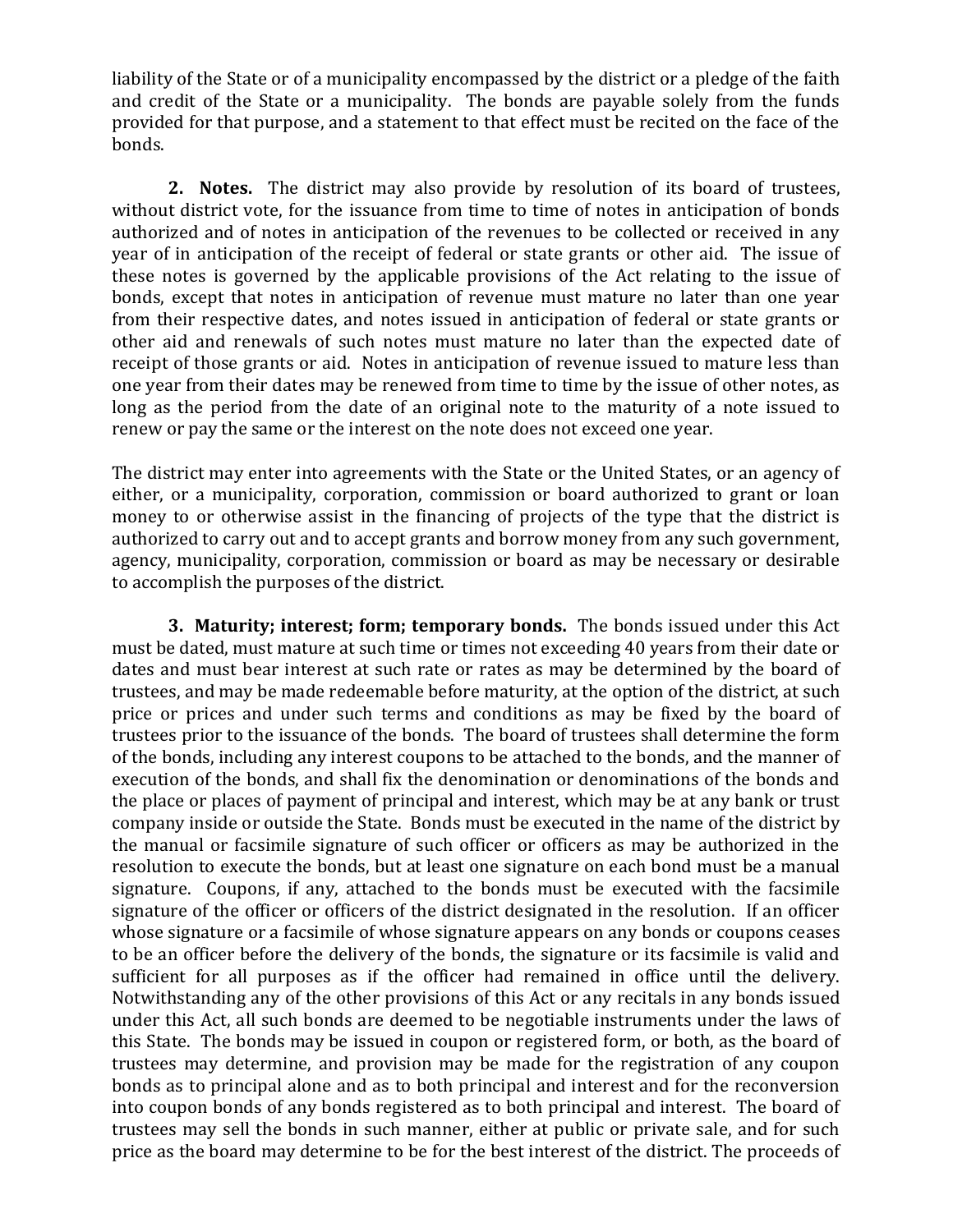liability of the State or of a municipality encompassed by the district or a pledge of the faith and credit of the State or a municipality. The bonds are payable solely from the funds provided for that purpose, and a statement to that effect must be recited on the face of the bonds.

**2. Notes.** The district may also provide by resolution of its board of trustees, without district vote, for the issuance from time to time of notes in anticipation of bonds authorized and of notes in anticipation of the revenues to be collected or received in any year of in anticipation of the receipt of federal or state grants or other aid. The issue of these notes is governed by the applicable provisions of the Act relating to the issue of bonds, except that notes in anticipation of revenue must mature no later than one year from their respective dates, and notes issued in anticipation of federal or state grants or other aid and renewals of such notes must mature no later than the expected date of receipt of those grants or aid. Notes in anticipation of revenue issued to mature less than one year from their dates may be renewed from time to time by the issue of other notes, as long as the period from the date of an original note to the maturity of a note issued to renew or pay the same or the interest on the note does not exceed one year.

The district may enter into agreements with the State or the United States, or an agency of either, or a municipality, corporation, commission or board authorized to grant or loan money to or otherwise assist in the financing of projects of the type that the district is authorized to carry out and to accept grants and borrow money from any such government, agency, municipality, corporation, commission or board as may be necessary or desirable to accomplish the purposes of the district.

**3. Maturity; interest; form; temporary bonds.** The bonds issued under this Act must be dated, must mature at such time or times not exceeding 40 years from their date or dates and must bear interest at such rate or rates as may be determined by the board of trustees, and may be made redeemable before maturity, at the option of the district, at such price or prices and under such terms and conditions as may be fixed by the board of trustees prior to the issuance of the bonds. The board of trustees shall determine the form of the bonds, including any interest coupons to be attached to the bonds, and the manner of execution of the bonds, and shall fix the denomination or denominations of the bonds and the place or places of payment of principal and interest, which may be at any bank or trust company inside or outside the State. Bonds must be executed in the name of the district by the manual or facsimile signature of such officer or officers as may be authorized in the resolution to execute the bonds, but at least one signature on each bond must be a manual signature. Coupons, if any, attached to the bonds must be executed with the facsimile signature of the officer or officers of the district designated in the resolution. If an officer whose signature or a facsimile of whose signature appears on any bonds or coupons ceases to be an officer before the delivery of the bonds, the signature or its facsimile is valid and sufficient for all purposes as if the officer had remained in office until the delivery. Notwithstanding any of the other provisions of this Act or any recitals in any bonds issued under this Act, all such bonds are deemed to be negotiable instruments under the laws of this State. The bonds may be issued in coupon or registered form, or both, as the board of trustees may determine, and provision may be made for the registration of any coupon bonds as to principal alone and as to both principal and interest and for the reconversion into coupon bonds of any bonds registered as to both principal and interest. The board of trustees may sell the bonds in such manner, either at public or private sale, and for such price as the board may determine to be for the best interest of the district. The proceeds of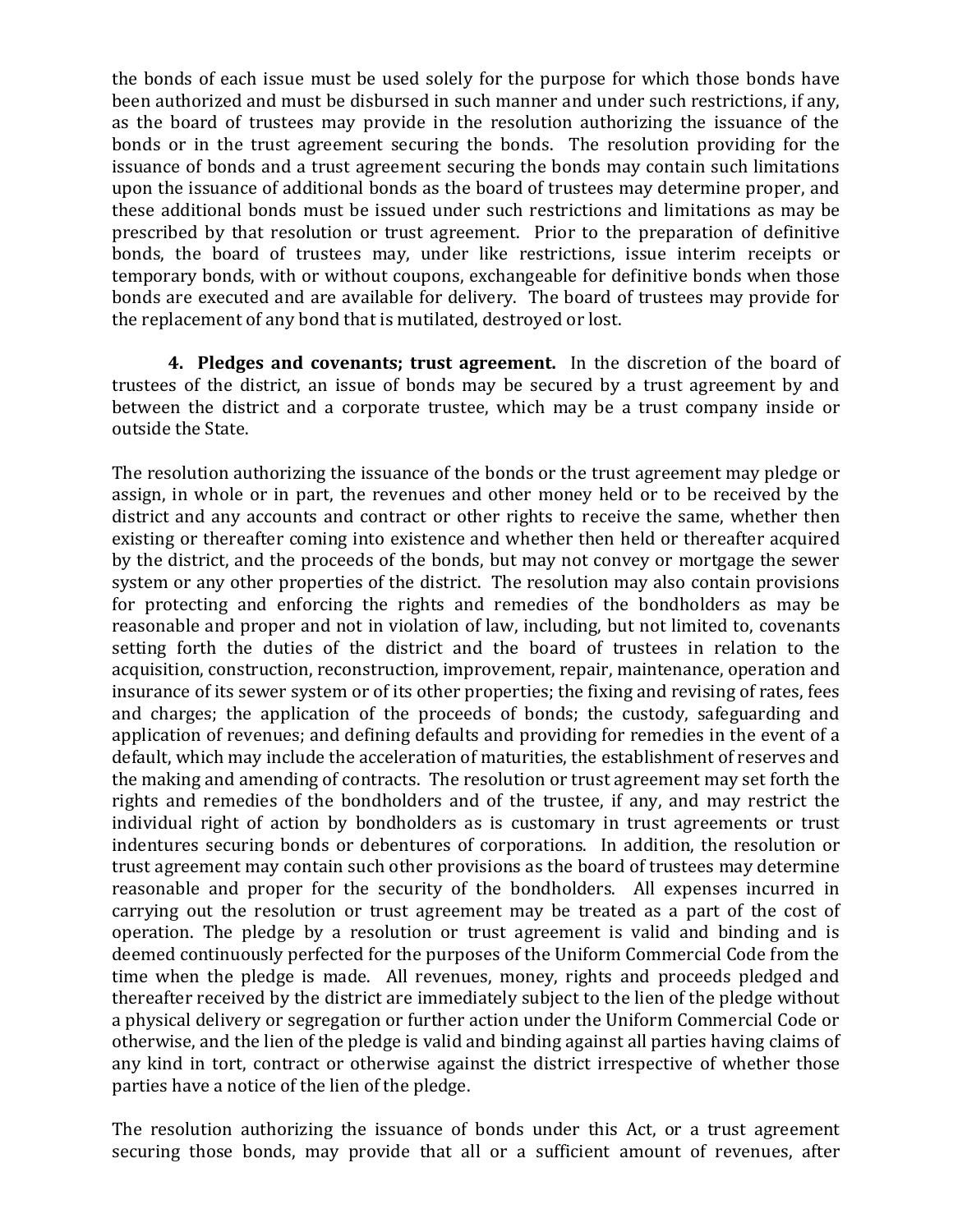the bonds of each issue must be used solely for the purpose for which those bonds have been authorized and must be disbursed in such manner and under such restrictions, if any, as the board of trustees may provide in the resolution authorizing the issuance of the bonds or in the trust agreement securing the bonds. The resolution providing for the issuance of bonds and a trust agreement securing the bonds may contain such limitations upon the issuance of additional bonds as the board of trustees may determine proper, and these additional bonds must be issued under such restrictions and limitations as may be prescribed by that resolution or trust agreement. Prior to the preparation of definitive bonds, the board of trustees may, under like restrictions, issue interim receipts or temporary bonds, with or without coupons, exchangeable for definitive bonds when those bonds are executed and are available for delivery. The board of trustees may provide for the replacement of any bond that is mutilated, destroyed or lost.

**4. Pledges and covenants; trust agreement.** In the discretion of the board of trustees of the district, an issue of bonds may be secured by a trust agreement by and between the district and a corporate trustee, which may be a trust company inside or outside the State.

The resolution authorizing the issuance of the bonds or the trust agreement may pledge or assign, in whole or in part, the revenues and other money held or to be received by the district and any accounts and contract or other rights to receive the same, whether then existing or thereafter coming into existence and whether then held or thereafter acquired by the district, and the proceeds of the bonds, but may not convey or mortgage the sewer system or any other properties of the district. The resolution may also contain provisions for protecting and enforcing the rights and remedies of the bondholders as may be reasonable and proper and not in violation of law, including, but not limited to, covenants setting forth the duties of the district and the board of trustees in relation to the acquisition, construction, reconstruction, improvement, repair, maintenance, operation and insurance of its sewer system or of its other properties; the fixing and revising of rates, fees and charges; the application of the proceeds of bonds; the custody, safeguarding and application of revenues; and defining defaults and providing for remedies in the event of a default, which may include the acceleration of maturities, the establishment of reserves and the making and amending of contracts. The resolution or trust agreement may set forth the rights and remedies of the bondholders and of the trustee, if any, and may restrict the individual right of action by bondholders as is customary in trust agreements or trust indentures securing bonds or debentures of corporations. In addition, the resolution or trust agreement may contain such other provisions as the board of trustees may determine reasonable and proper for the security of the bondholders. All expenses incurred in carrying out the resolution or trust agreement may be treated as a part of the cost of operation. The pledge by a resolution or trust agreement is valid and binding and is deemed continuously perfected for the purposes of the Uniform Commercial Code from the time when the pledge is made. All revenues, money, rights and proceeds pledged and thereafter received by the district are immediately subject to the lien of the pledge without a physical delivery or segregation or further action under the Uniform Commercial Code or otherwise, and the lien of the pledge is valid and binding against all parties having claims of any kind in tort, contract or otherwise against the district irrespective of whether those parties have a notice of the lien of the pledge.

The resolution authorizing the issuance of bonds under this Act, or a trust agreement securing those bonds, may provide that all or a sufficient amount of revenues, after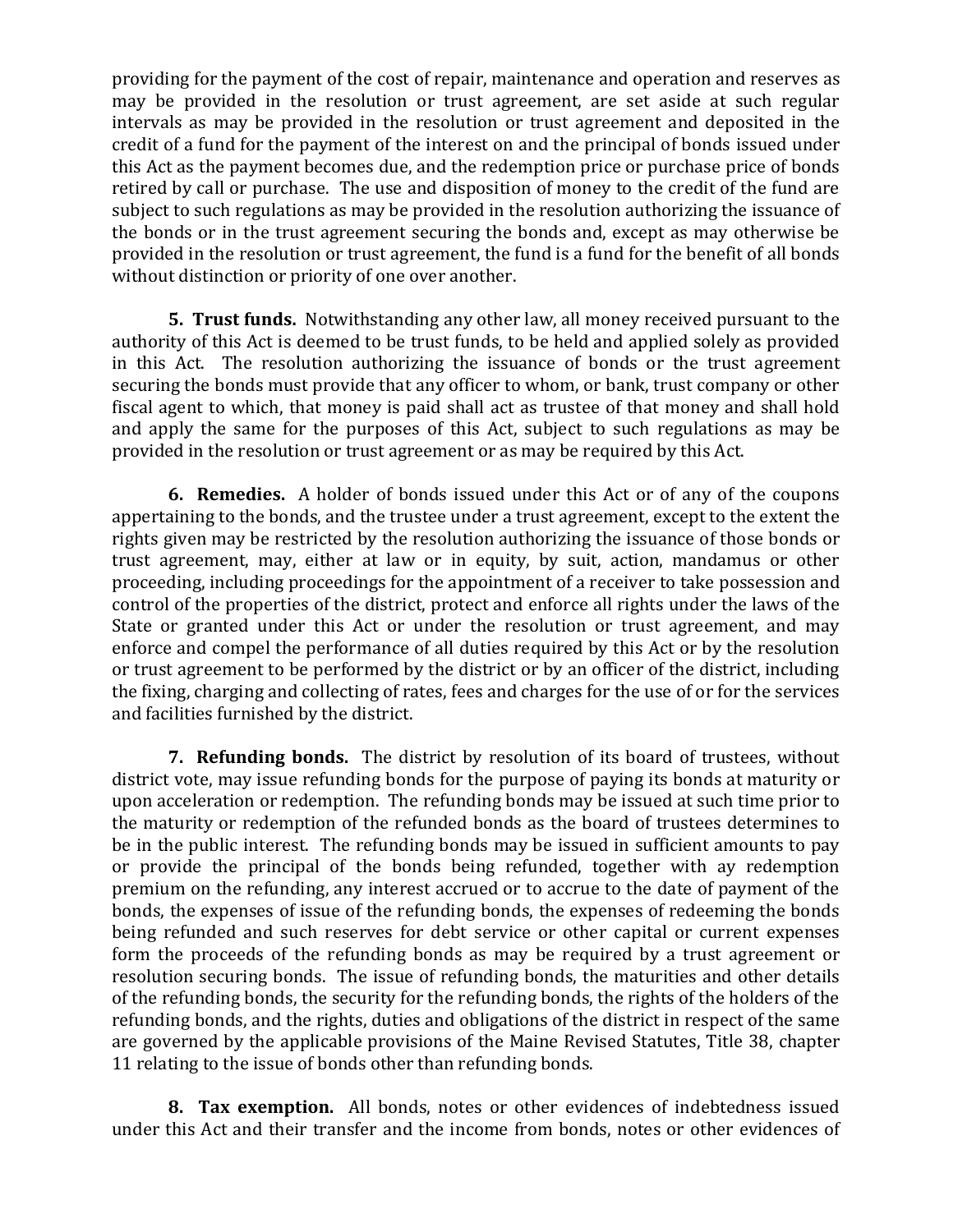providing for the payment of the cost of repair, maintenance and operation and reserves as may be provided in the resolution or trust agreement, are set aside at such regular intervals as may be provided in the resolution or trust agreement and deposited in the credit of a fund for the payment of the interest on and the principal of bonds issued under this Act as the payment becomes due, and the redemption price or purchase price of bonds retired by call or purchase. The use and disposition of money to the credit of the fund are subject to such regulations as may be provided in the resolution authorizing the issuance of the bonds or in the trust agreement securing the bonds and, except as may otherwise be provided in the resolution or trust agreement, the fund is a fund for the benefit of all bonds without distinction or priority of one over another.

**5. Trust funds.** Notwithstanding any other law, all money received pursuant to the authority of this Act is deemed to be trust funds, to be held and applied solely as provided in this Act. The resolution authorizing the issuance of bonds or the trust agreement securing the bonds must provide that any officer to whom, or bank, trust company or other fiscal agent to which, that money is paid shall act as trustee of that money and shall hold and apply the same for the purposes of this Act, subject to such regulations as may be provided in the resolution or trust agreement or as may be required by this Act.

**6. Remedies.** A holder of bonds issued under this Act or of any of the coupons appertaining to the bonds, and the trustee under a trust agreement, except to the extent the rights given may be restricted by the resolution authorizing the issuance of those bonds or trust agreement, may, either at law or in equity, by suit, action, mandamus or other proceeding, including proceedings for the appointment of a receiver to take possession and control of the properties of the district, protect and enforce all rights under the laws of the State or granted under this Act or under the resolution or trust agreement, and may enforce and compel the performance of all duties required by this Act or by the resolution or trust agreement to be performed by the district or by an officer of the district, including the fixing, charging and collecting of rates, fees and charges for the use of or for the services and facilities furnished by the district.

**7. Refunding bonds.** The district by resolution of its board of trustees, without district vote, may issue refunding bonds for the purpose of paying its bonds at maturity or upon acceleration or redemption. The refunding bonds may be issued at such time prior to the maturity or redemption of the refunded bonds as the board of trustees determines to be in the public interest. The refunding bonds may be issued in sufficient amounts to pay or provide the principal of the bonds being refunded, together with ay redemption premium on the refunding, any interest accrued or to accrue to the date of payment of the bonds, the expenses of issue of the refunding bonds, the expenses of redeeming the bonds being refunded and such reserves for debt service or other capital or current expenses form the proceeds of the refunding bonds as may be required by a trust agreement or resolution securing bonds. The issue of refunding bonds, the maturities and other details of the refunding bonds, the security for the refunding bonds, the rights of the holders of the refunding bonds, and the rights, duties and obligations of the district in respect of the same are governed by the applicable provisions of the Maine Revised Statutes, Title 38, chapter 11 relating to the issue of bonds other than refunding bonds.

**8. Tax exemption.** All bonds, notes or other evidences of indebtedness issued under this Act and their transfer and the income from bonds, notes or other evidences of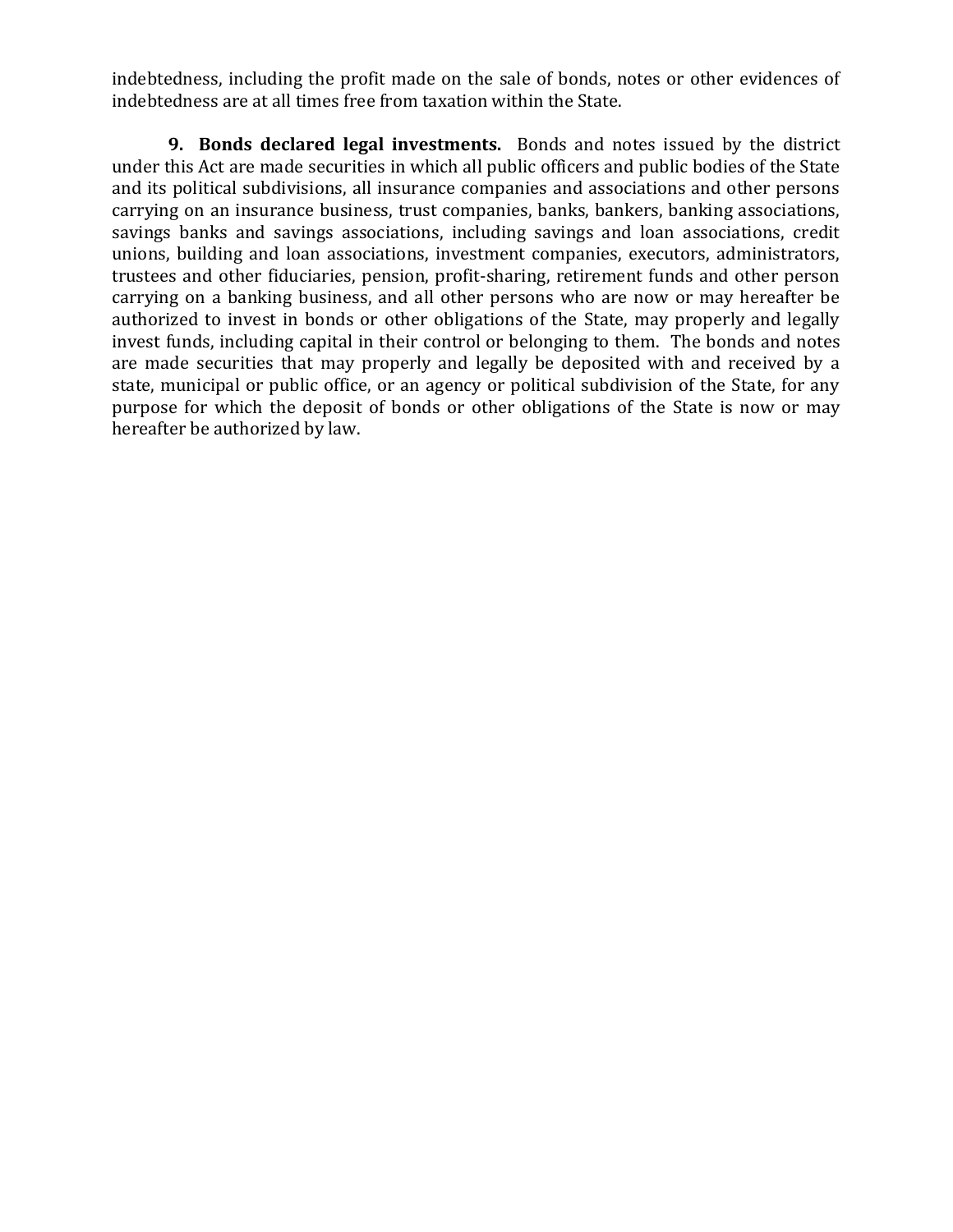indebtedness, including the profit made on the sale of bonds, notes or other evidences of indebtedness are at all times free from taxation within the State.

**9. Bonds declared legal investments.** Bonds and notes issued by the district under this Act are made securities in which all public officers and public bodies of the State and its political subdivisions, all insurance companies and associations and other persons carrying on an insurance business, trust companies, banks, bankers, banking associations, savings banks and savings associations, including savings and loan associations, credit unions, building and loan associations, investment companies, executors, administrators, trustees and other fiduciaries, pension, profit-sharing, retirement funds and other person carrying on a banking business, and all other persons who are now or may hereafter be authorized to invest in bonds or other obligations of the State, may properly and legally invest funds, including capital in their control or belonging to them. The bonds and notes are made securities that may properly and legally be deposited with and received by a state, municipal or public office, or an agency or political subdivision of the State, for any purpose for which the deposit of bonds or other obligations of the State is now or may hereafter be authorized by law.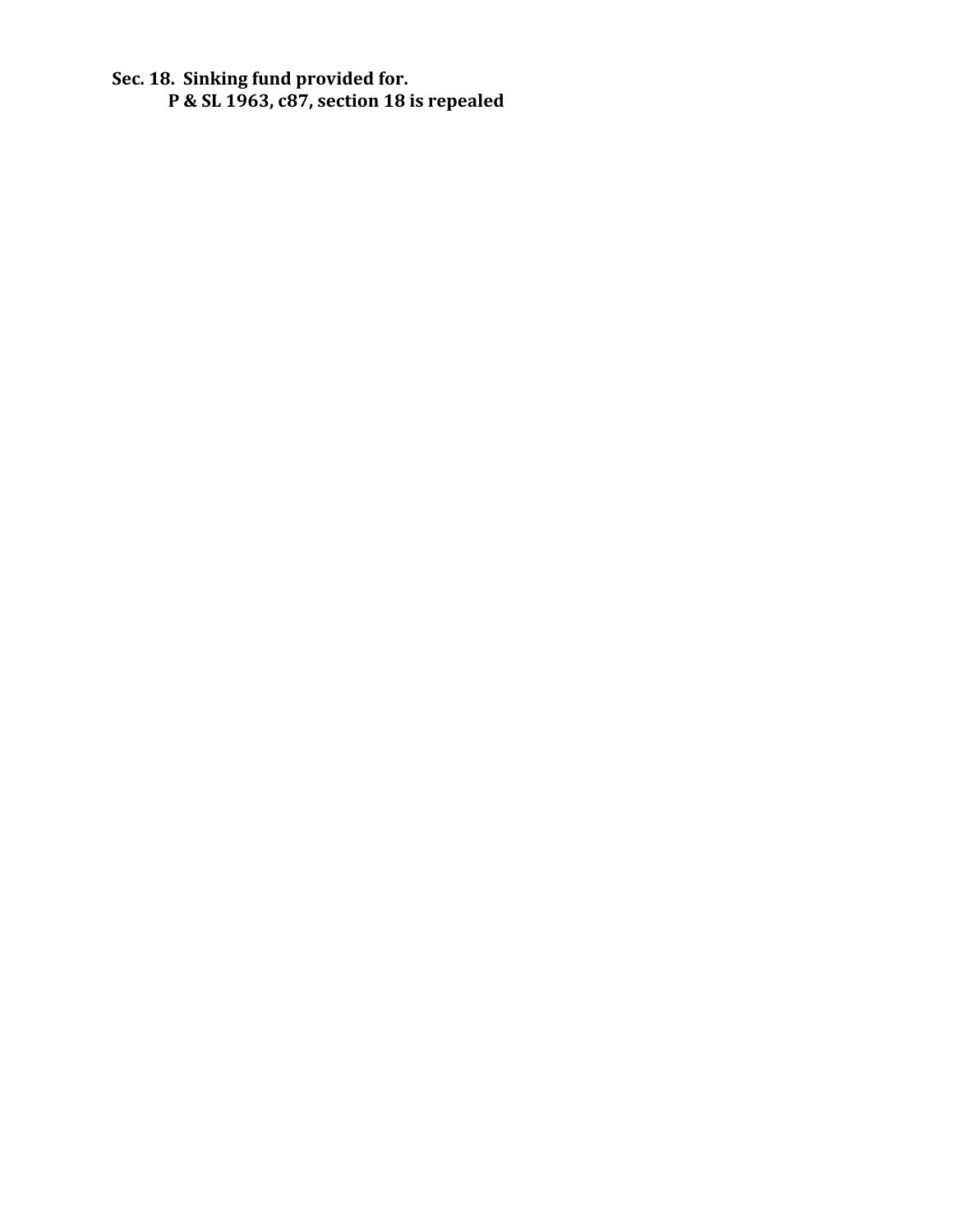**Sec. 18. Sinking fund provided for. P & SL 1963, c87, section 18 is repealed**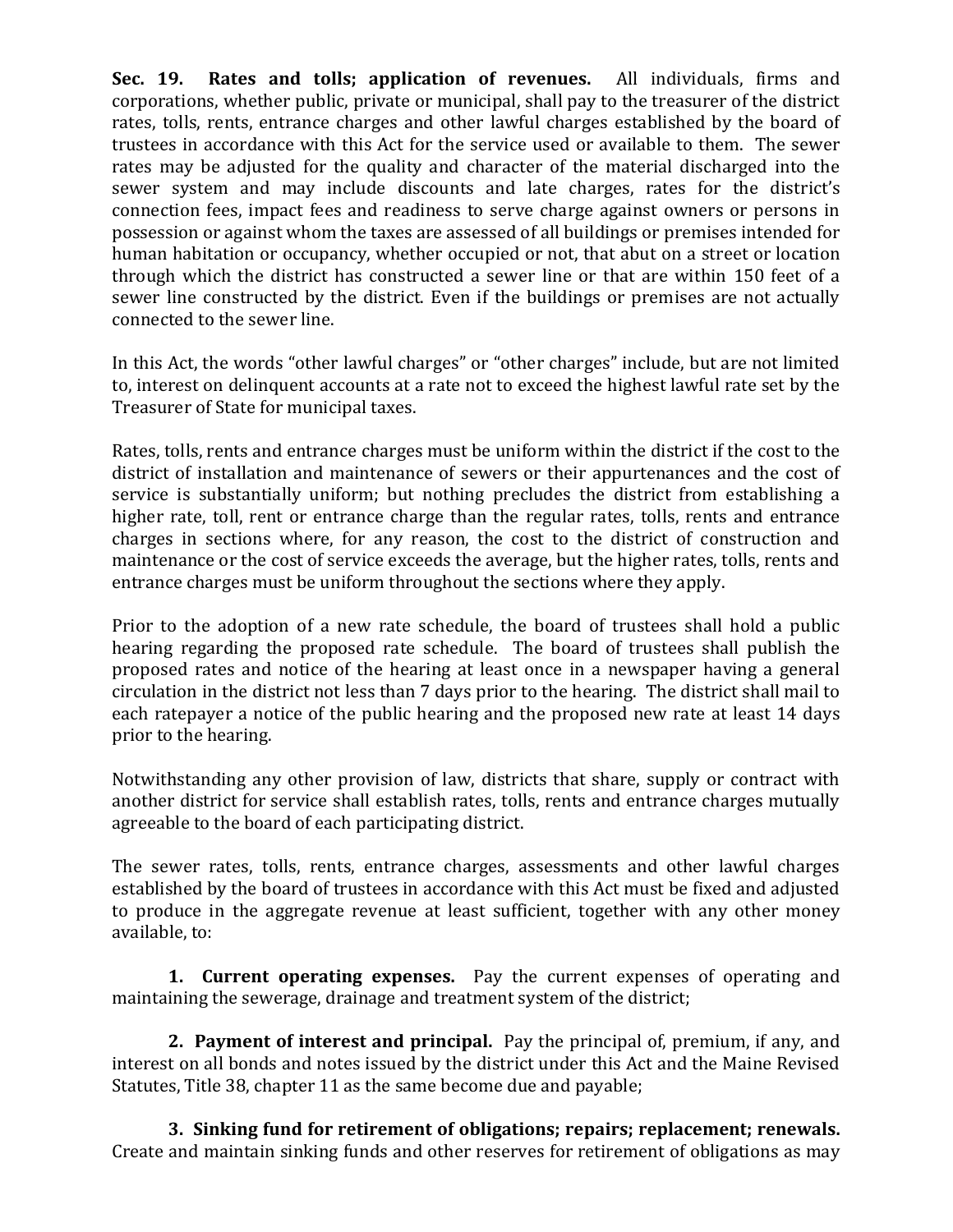**Sec. 19. Rates and tolls; application of revenues.** All individuals, firms and corporations, whether public, private or municipal, shall pay to the treasurer of the district rates, tolls, rents, entrance charges and other lawful charges established by the board of trustees in accordance with this Act for the service used or available to them. The sewer rates may be adjusted for the quality and character of the material discharged into the sewer system and may include discounts and late charges, rates for the district's connection fees, impact fees and readiness to serve charge against owners or persons in possession or against whom the taxes are assessed of all buildings or premises intended for human habitation or occupancy, whether occupied or not, that abut on a street or location through which the district has constructed a sewer line or that are within 150 feet of a sewer line constructed by the district. Even if the buildings or premises are not actually connected to the sewer line.

In this Act, the words "other lawful charges" or "other charges" include, but are not limited to, interest on delinquent accounts at a rate not to exceed the highest lawful rate set by the Treasurer of State for municipal taxes.

Rates, tolls, rents and entrance charges must be uniform within the district if the cost to the district of installation and maintenance of sewers or their appurtenances and the cost of service is substantially uniform; but nothing precludes the district from establishing a higher rate, toll, rent or entrance charge than the regular rates, tolls, rents and entrance charges in sections where, for any reason, the cost to the district of construction and maintenance or the cost of service exceeds the average, but the higher rates, tolls, rents and entrance charges must be uniform throughout the sections where they apply.

Prior to the adoption of a new rate schedule, the board of trustees shall hold a public hearing regarding the proposed rate schedule. The board of trustees shall publish the proposed rates and notice of the hearing at least once in a newspaper having a general circulation in the district not less than 7 days prior to the hearing. The district shall mail to each ratepayer a notice of the public hearing and the proposed new rate at least 14 days prior to the hearing.

Notwithstanding any other provision of law, districts that share, supply or contract with another district for service shall establish rates, tolls, rents and entrance charges mutually agreeable to the board of each participating district.

The sewer rates, tolls, rents, entrance charges, assessments and other lawful charges established by the board of trustees in accordance with this Act must be fixed and adjusted to produce in the aggregate revenue at least sufficient, together with any other money available, to:

**1. Current operating expenses.** Pay the current expenses of operating and maintaining the sewerage, drainage and treatment system of the district;

**2. Payment of interest and principal.** Pay the principal of, premium, if any, and interest on all bonds and notes issued by the district under this Act and the Maine Revised Statutes, Title 38, chapter 11 as the same become due and payable;

**3. Sinking fund for retirement of obligations; repairs; replacement; renewals.** Create and maintain sinking funds and other reserves for retirement of obligations as may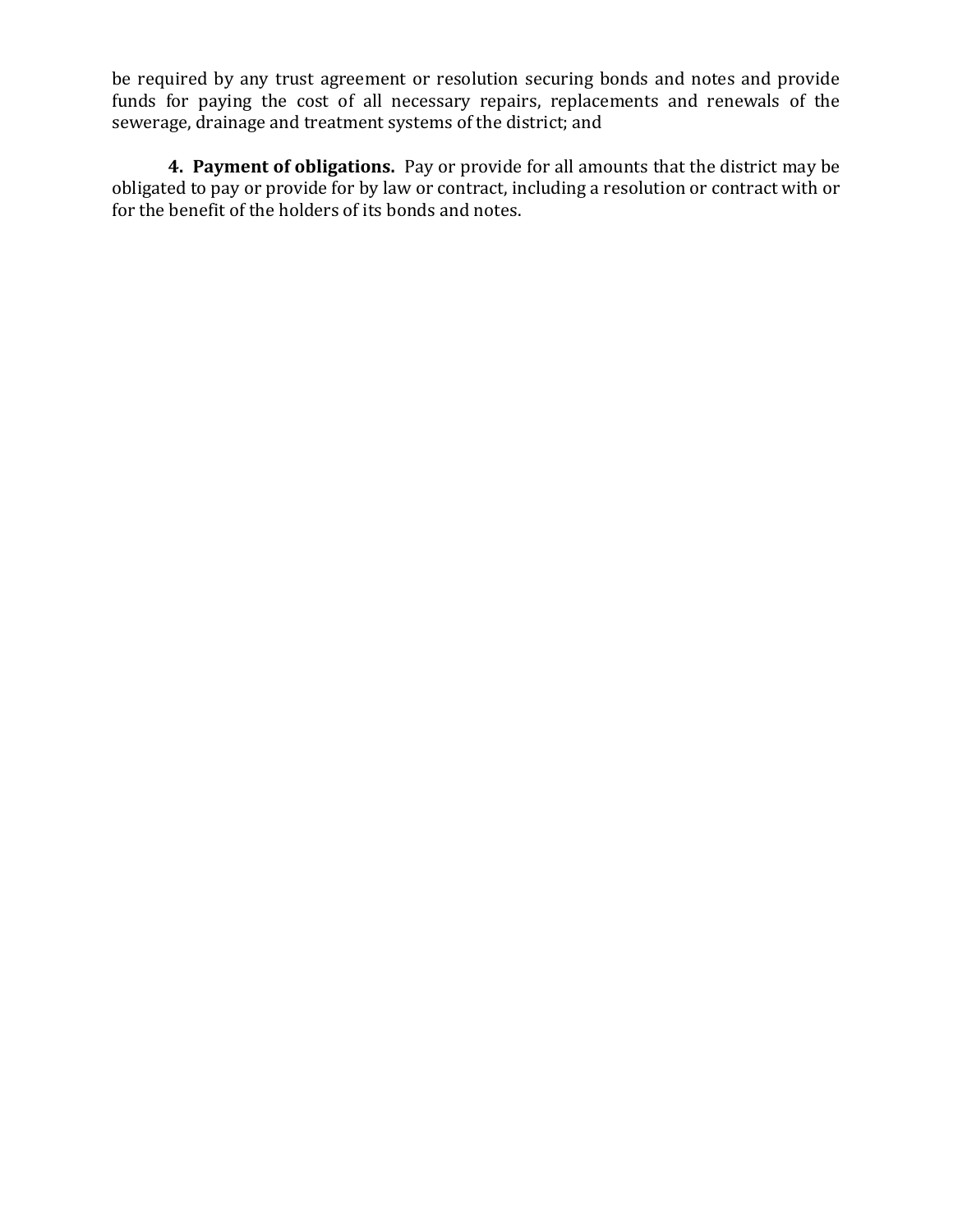be required by any trust agreement or resolution securing bonds and notes and provide funds for paying the cost of all necessary repairs, replacements and renewals of the sewerage, drainage and treatment systems of the district; and

**4. Payment of obligations.** Pay or provide for all amounts that the district may be obligated to pay or provide for by law or contract, including a resolution or contract with or for the benefit of the holders of its bonds and notes.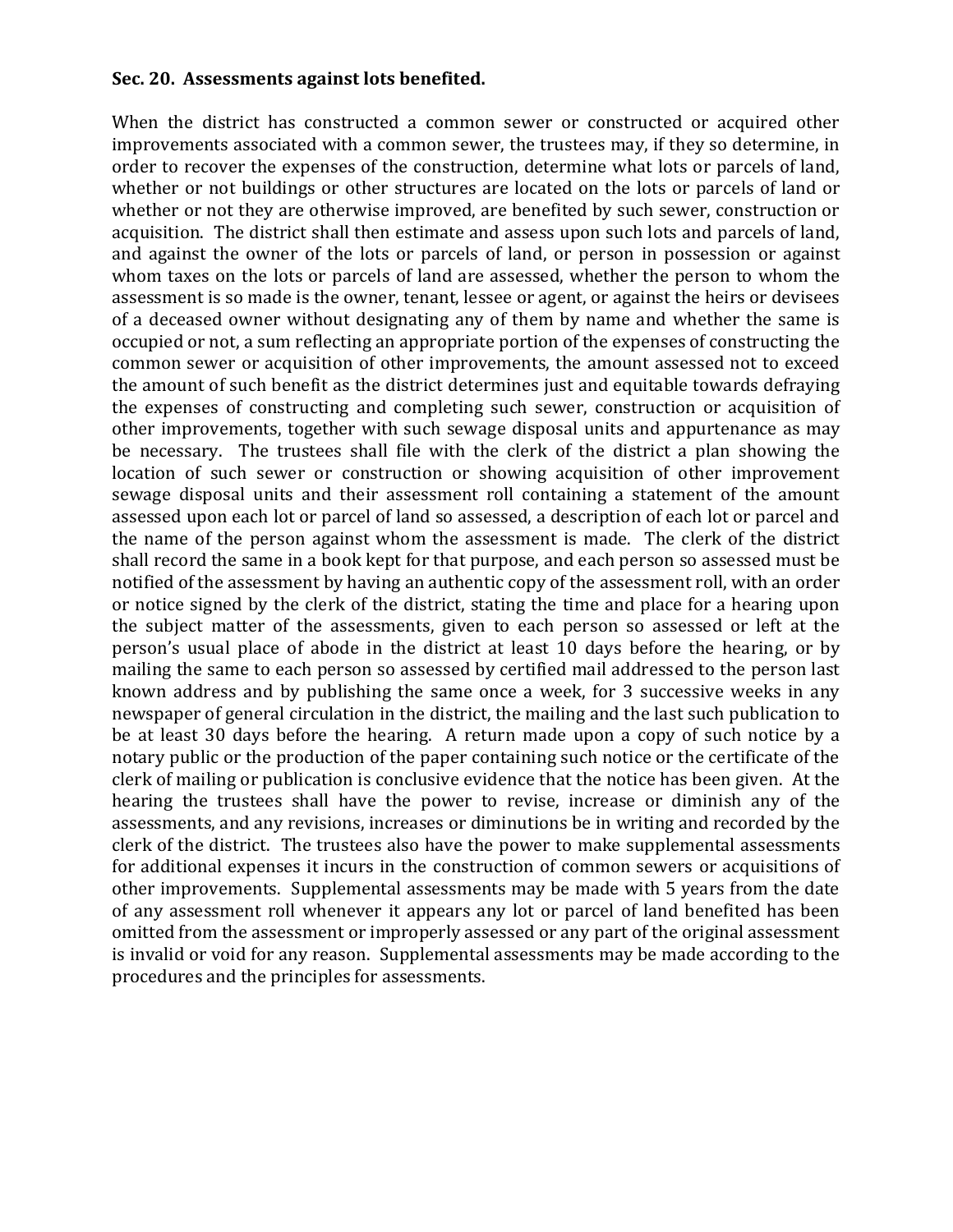#### **Sec. 20. Assessments against lots benefited.**

When the district has constructed a common sewer or constructed or acquired other improvements associated with a common sewer, the trustees may, if they so determine, in order to recover the expenses of the construction, determine what lots or parcels of land, whether or not buildings or other structures are located on the lots or parcels of land or whether or not they are otherwise improved, are benefited by such sewer, construction or acquisition. The district shall then estimate and assess upon such lots and parcels of land, and against the owner of the lots or parcels of land, or person in possession or against whom taxes on the lots or parcels of land are assessed, whether the person to whom the assessment is so made is the owner, tenant, lessee or agent, or against the heirs or devisees of a deceased owner without designating any of them by name and whether the same is occupied or not, a sum reflecting an appropriate portion of the expenses of constructing the common sewer or acquisition of other improvements, the amount assessed not to exceed the amount of such benefit as the district determines just and equitable towards defraying the expenses of constructing and completing such sewer, construction or acquisition of other improvements, together with such sewage disposal units and appurtenance as may be necessary. The trustees shall file with the clerk of the district a plan showing the location of such sewer or construction or showing acquisition of other improvement sewage disposal units and their assessment roll containing a statement of the amount assessed upon each lot or parcel of land so assessed, a description of each lot or parcel and the name of the person against whom the assessment is made. The clerk of the district shall record the same in a book kept for that purpose, and each person so assessed must be notified of the assessment by having an authentic copy of the assessment roll, with an order or notice signed by the clerk of the district, stating the time and place for a hearing upon the subject matter of the assessments, given to each person so assessed or left at the person's usual place of abode in the district at least 10 days before the hearing, or by mailing the same to each person so assessed by certified mail addressed to the person last known address and by publishing the same once a week, for 3 successive weeks in any newspaper of general circulation in the district, the mailing and the last such publication to be at least 30 days before the hearing. A return made upon a copy of such notice by a notary public or the production of the paper containing such notice or the certificate of the clerk of mailing or publication is conclusive evidence that the notice has been given. At the hearing the trustees shall have the power to revise, increase or diminish any of the assessments, and any revisions, increases or diminutions be in writing and recorded by the clerk of the district. The trustees also have the power to make supplemental assessments for additional expenses it incurs in the construction of common sewers or acquisitions of other improvements. Supplemental assessments may be made with 5 years from the date of any assessment roll whenever it appears any lot or parcel of land benefited has been omitted from the assessment or improperly assessed or any part of the original assessment is invalid or void for any reason. Supplemental assessments may be made according to the procedures and the principles for assessments.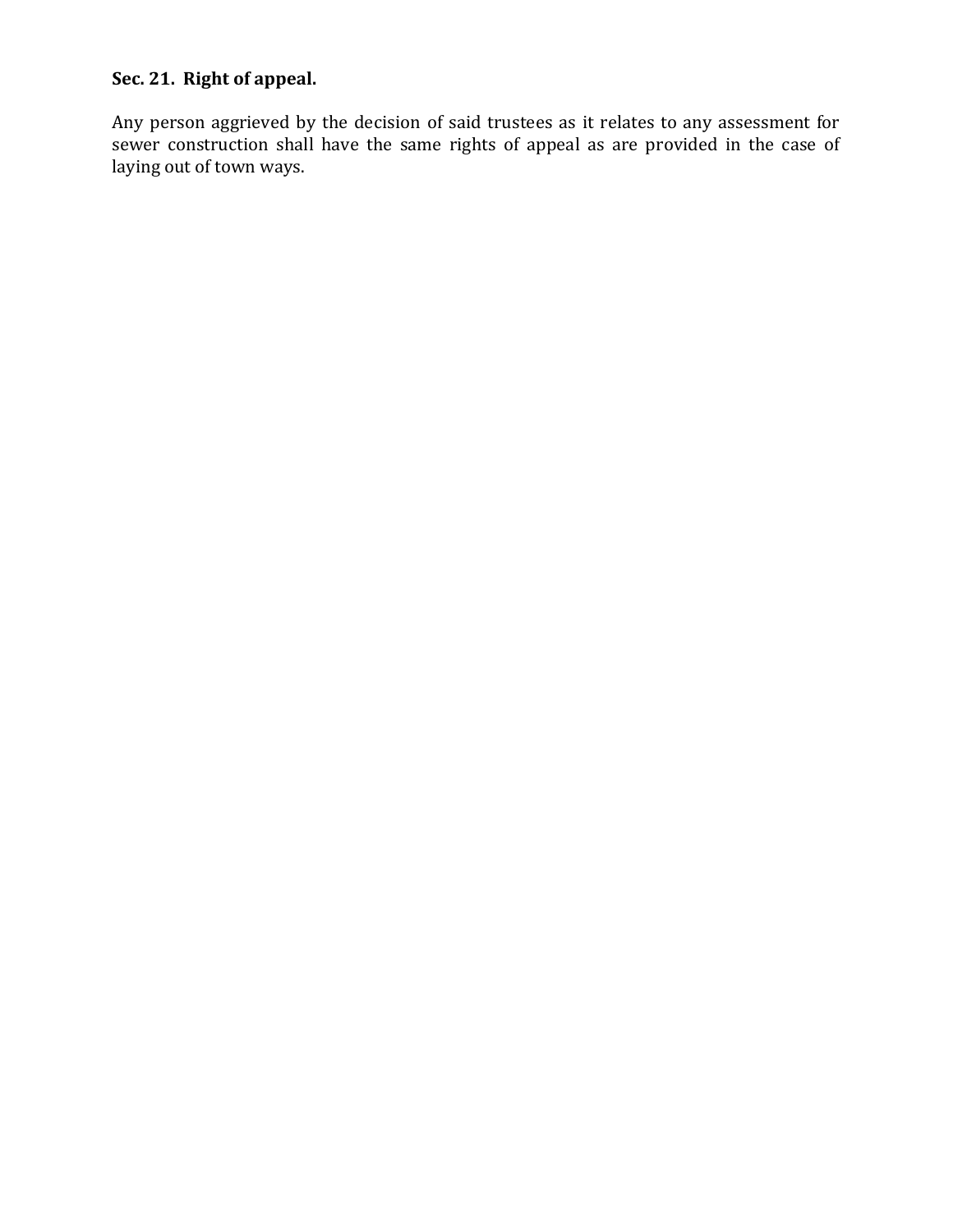# **Sec. 21. Right of appeal.**

Any person aggrieved by the decision of said trustees as it relates to any assessment for sewer construction shall have the same rights of appeal as are provided in the case of laying out of town ways.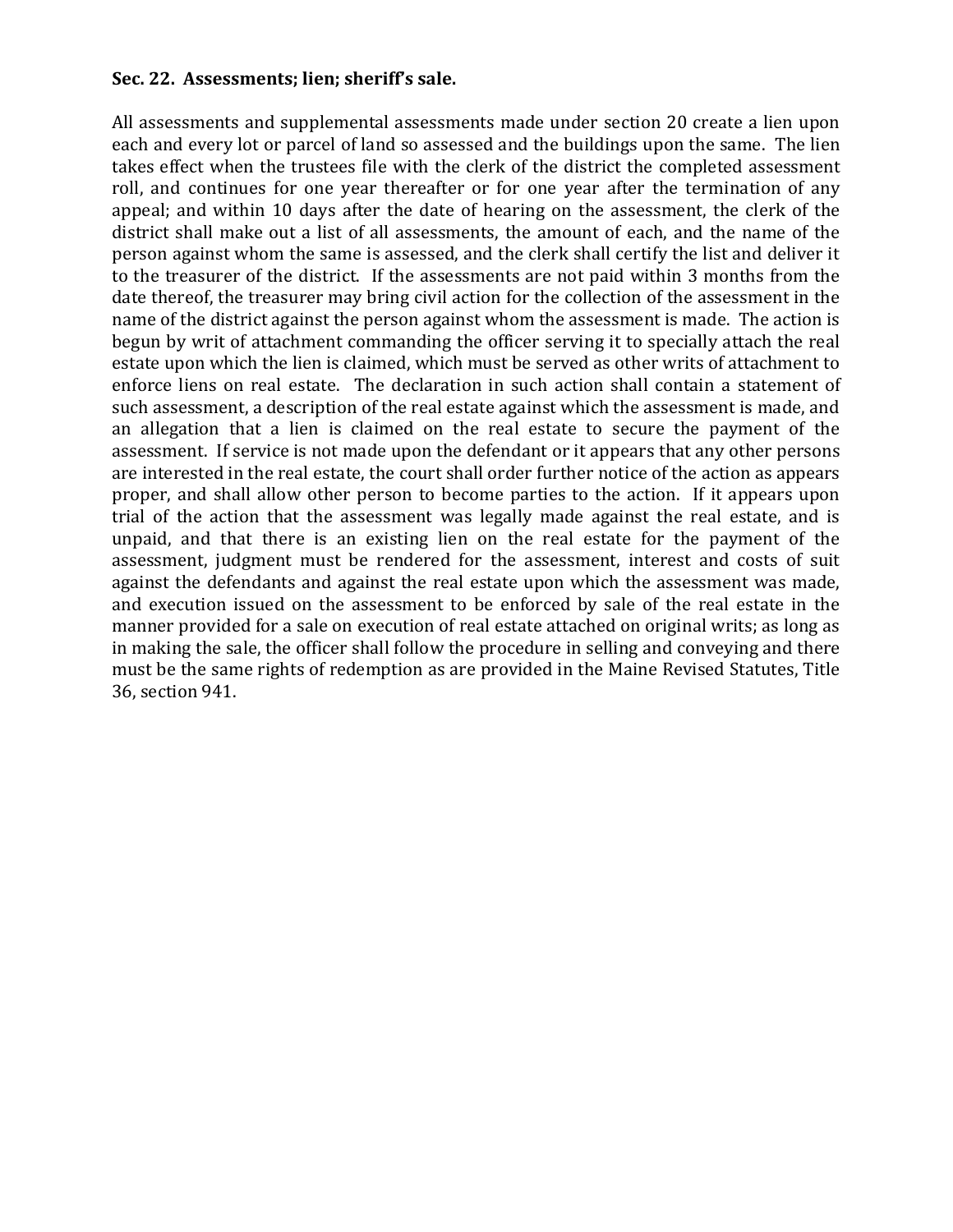#### **Sec. 22. Assessments; lien; sheriff's sale.**

All assessments and supplemental assessments made under section 20 create a lien upon each and every lot or parcel of land so assessed and the buildings upon the same. The lien takes effect when the trustees file with the clerk of the district the completed assessment roll, and continues for one year thereafter or for one year after the termination of any appeal; and within 10 days after the date of hearing on the assessment, the clerk of the district shall make out a list of all assessments, the amount of each, and the name of the person against whom the same is assessed, and the clerk shall certify the list and deliver it to the treasurer of the district. If the assessments are not paid within 3 months from the date thereof, the treasurer may bring civil action for the collection of the assessment in the name of the district against the person against whom the assessment is made. The action is begun by writ of attachment commanding the officer serving it to specially attach the real estate upon which the lien is claimed, which must be served as other writs of attachment to enforce liens on real estate. The declaration in such action shall contain a statement of such assessment, a description of the real estate against which the assessment is made, and an allegation that a lien is claimed on the real estate to secure the payment of the assessment. If service is not made upon the defendant or it appears that any other persons are interested in the real estate, the court shall order further notice of the action as appears proper, and shall allow other person to become parties to the action. If it appears upon trial of the action that the assessment was legally made against the real estate, and is unpaid, and that there is an existing lien on the real estate for the payment of the assessment, judgment must be rendered for the assessment, interest and costs of suit against the defendants and against the real estate upon which the assessment was made, and execution issued on the assessment to be enforced by sale of the real estate in the manner provided for a sale on execution of real estate attached on original writs; as long as in making the sale, the officer shall follow the procedure in selling and conveying and there must be the same rights of redemption as are provided in the Maine Revised Statutes, Title 36, section 941.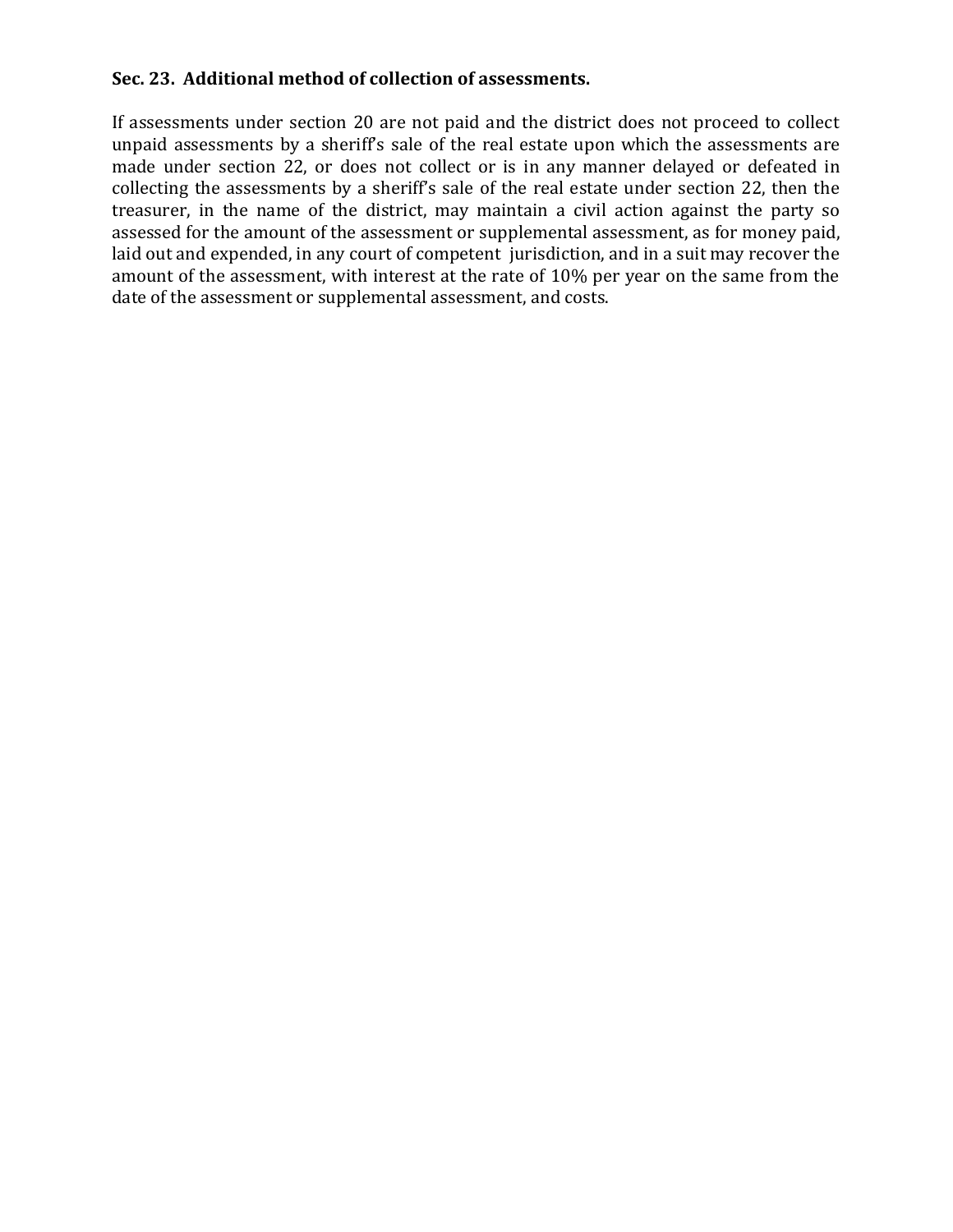# **Sec. 23. Additional method of collection of assessments.**

If assessments under section 20 are not paid and the district does not proceed to collect unpaid assessments by a sheriff's sale of the real estate upon which the assessments are made under section 22, or does not collect or is in any manner delayed or defeated in collecting the assessments by a sheriff's sale of the real estate under section 22, then the treasurer, in the name of the district, may maintain a civil action against the party so assessed for the amount of the assessment or supplemental assessment, as for money paid, laid out and expended, in any court of competent jurisdiction, and in a suit may recover the amount of the assessment, with interest at the rate of 10% per year on the same from the date of the assessment or supplemental assessment, and costs.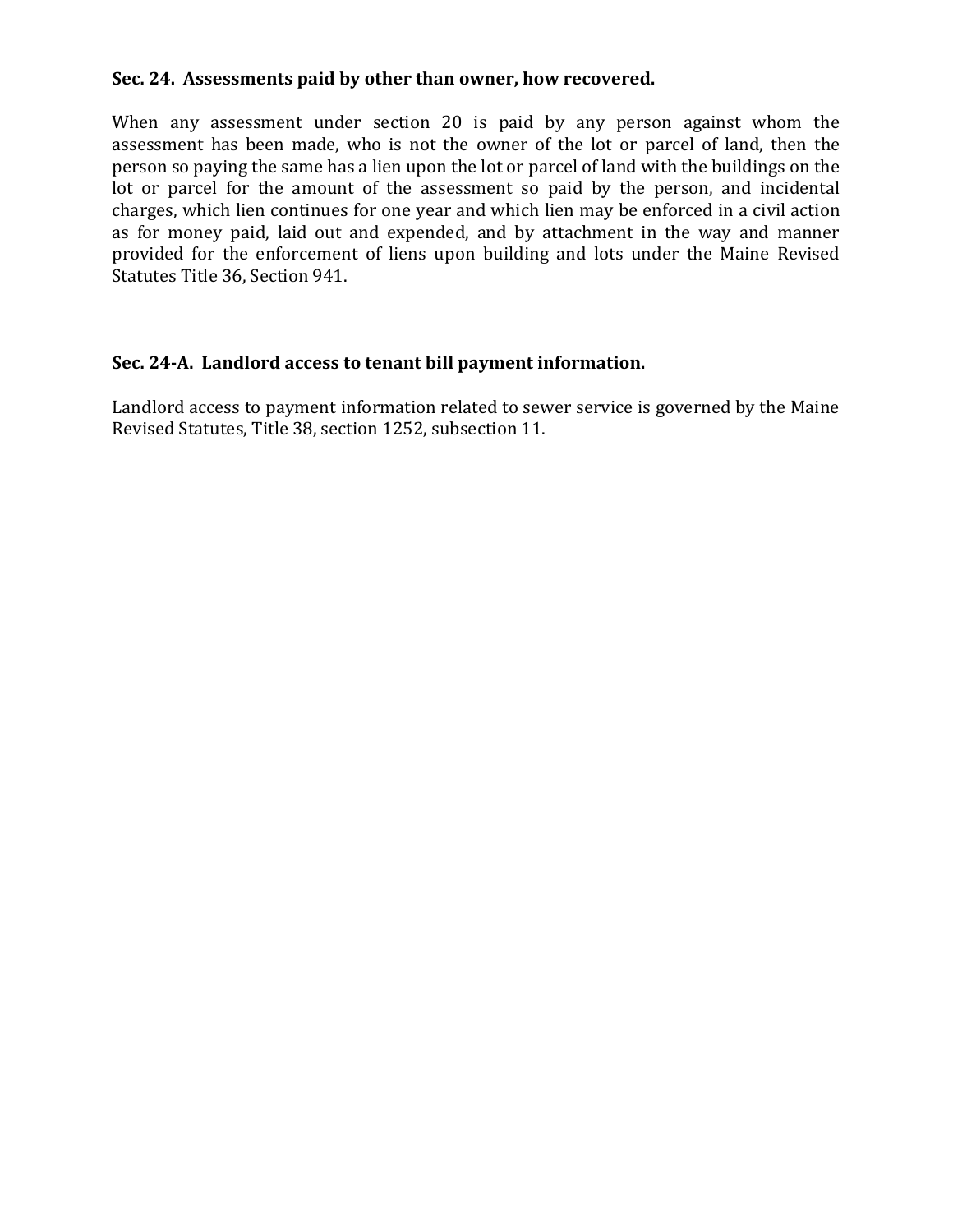#### **Sec. 24. Assessments paid by other than owner, how recovered.**

When any assessment under section 20 is paid by any person against whom the assessment has been made, who is not the owner of the lot or parcel of land, then the person so paying the same has a lien upon the lot or parcel of land with the buildings on the lot or parcel for the amount of the assessment so paid by the person, and incidental charges, which lien continues for one year and which lien may be enforced in a civil action as for money paid, laid out and expended, and by attachment in the way and manner provided for the enforcement of liens upon building and lots under the Maine Revised Statutes Title 36, Section 941.

# **Sec. 24-A. Landlord access to tenant bill payment information.**

Landlord access to payment information related to sewer service is governed by the Maine Revised Statutes, Title 38, section 1252, subsection 11.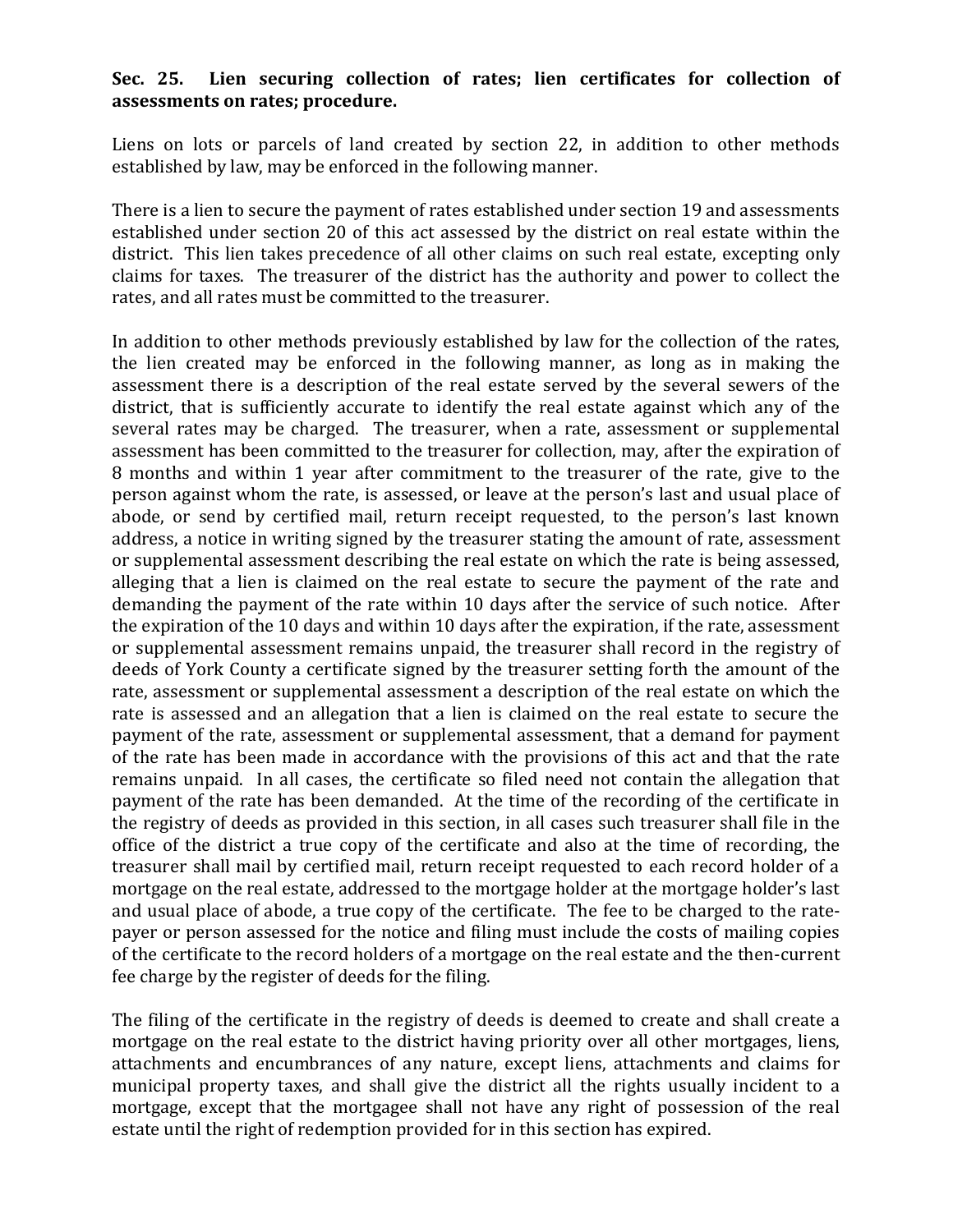## **Sec. 25. Lien securing collection of rates; lien certificates for collection of assessments on rates; procedure.**

Liens on lots or parcels of land created by section 22, in addition to other methods established by law, may be enforced in the following manner.

There is a lien to secure the payment of rates established under section 19 and assessments established under section 20 of this act assessed by the district on real estate within the district. This lien takes precedence of all other claims on such real estate, excepting only claims for taxes. The treasurer of the district has the authority and power to collect the rates, and all rates must be committed to the treasurer.

In addition to other methods previously established by law for the collection of the rates, the lien created may be enforced in the following manner, as long as in making the assessment there is a description of the real estate served by the several sewers of the district, that is sufficiently accurate to identify the real estate against which any of the several rates may be charged. The treasurer, when a rate, assessment or supplemental assessment has been committed to the treasurer for collection, may, after the expiration of 8 months and within 1 year after commitment to the treasurer of the rate, give to the person against whom the rate, is assessed, or leave at the person's last and usual place of abode, or send by certified mail, return receipt requested, to the person's last known address, a notice in writing signed by the treasurer stating the amount of rate, assessment or supplemental assessment describing the real estate on which the rate is being assessed, alleging that a lien is claimed on the real estate to secure the payment of the rate and demanding the payment of the rate within 10 days after the service of such notice. After the expiration of the 10 days and within 10 days after the expiration, if the rate, assessment or supplemental assessment remains unpaid, the treasurer shall record in the registry of deeds of York County a certificate signed by the treasurer setting forth the amount of the rate, assessment or supplemental assessment a description of the real estate on which the rate is assessed and an allegation that a lien is claimed on the real estate to secure the payment of the rate, assessment or supplemental assessment, that a demand for payment of the rate has been made in accordance with the provisions of this act and that the rate remains unpaid. In all cases, the certificate so filed need not contain the allegation that payment of the rate has been demanded. At the time of the recording of the certificate in the registry of deeds as provided in this section, in all cases such treasurer shall file in the office of the district a true copy of the certificate and also at the time of recording, the treasurer shall mail by certified mail, return receipt requested to each record holder of a mortgage on the real estate, addressed to the mortgage holder at the mortgage holder's last and usual place of abode, a true copy of the certificate. The fee to be charged to the ratepayer or person assessed for the notice and filing must include the costs of mailing copies of the certificate to the record holders of a mortgage on the real estate and the then-current fee charge by the register of deeds for the filing.

The filing of the certificate in the registry of deeds is deemed to create and shall create a mortgage on the real estate to the district having priority over all other mortgages, liens, attachments and encumbrances of any nature, except liens, attachments and claims for municipal property taxes, and shall give the district all the rights usually incident to a mortgage, except that the mortgagee shall not have any right of possession of the real estate until the right of redemption provided for in this section has expired.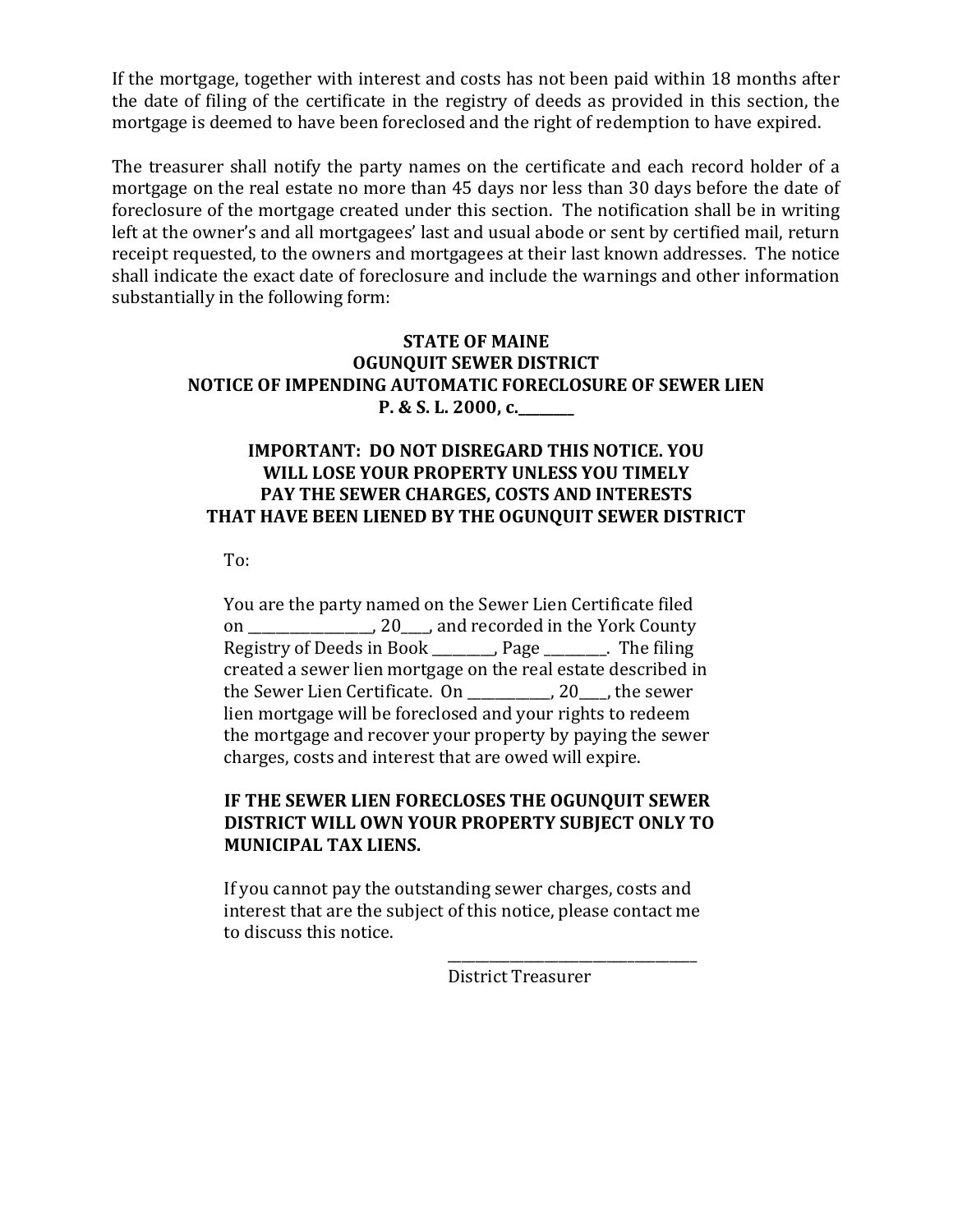If the mortgage, together with interest and costs has not been paid within 18 months after the date of filing of the certificate in the registry of deeds as provided in this section, the mortgage is deemed to have been foreclosed and the right of redemption to have expired.

The treasurer shall notify the party names on the certificate and each record holder of a mortgage on the real estate no more than 45 days nor less than 30 days before the date of foreclosure of the mortgage created under this section. The notification shall be in writing left at the owner's and all mortgagees' last and usual abode or sent by certified mail, return receipt requested, to the owners and mortgagees at their last known addresses. The notice shall indicate the exact date of foreclosure and include the warnings and other information substantially in the following form:

## **STATE OF MAINE OGUNQUIT SEWER DISTRICT NOTICE OF IMPENDING AUTOMATIC FORECLOSURE OF SEWER LIEN P. & S. L. 2000, c.**

# **IMPORTANT: DO NOT DISREGARD THIS NOTICE. YOU WILL LOSE YOUR PROPERTY UNLESS YOU TIMELY PAY THE SEWER CHARGES, COSTS AND INTERESTS THAT HAVE BEEN LIENED BY THE OGUNQUIT SEWER DISTRICT**

To:

You are the party named on the Sewer Lien Certificate filed on \_\_\_\_\_\_\_\_\_\_\_\_\_\_\_\_\_\_, 20\_\_\_\_, and recorded in the York County Registry of Deeds in Book \_\_\_\_\_\_\_\_\_, Page \_\_\_\_\_\_\_\_\_. The filing created a sewer lien mortgage on the real estate described in the Sewer Lien Certificate. On \_\_\_\_\_\_\_\_\_\_\_\_, 20\_\_\_\_, the sewer lien mortgage will be foreclosed and your rights to redeem the mortgage and recover your property by paying the sewer charges, costs and interest that are owed will expire.

# **IF THE SEWER LIEN FORECLOSES THE OGUNQUIT SEWER DISTRICT WILL OWN YOUR PROPERTY SUBJECT ONLY TO MUNICIPAL TAX LIENS.**

If you cannot pay the outstanding sewer charges, costs and interest that are the subject of this notice, please contact me to discuss this notice.

District Treasurer

\_\_\_\_\_\_\_\_\_\_\_\_\_\_\_\_\_\_\_\_\_\_\_\_\_\_\_\_\_\_\_\_\_\_\_\_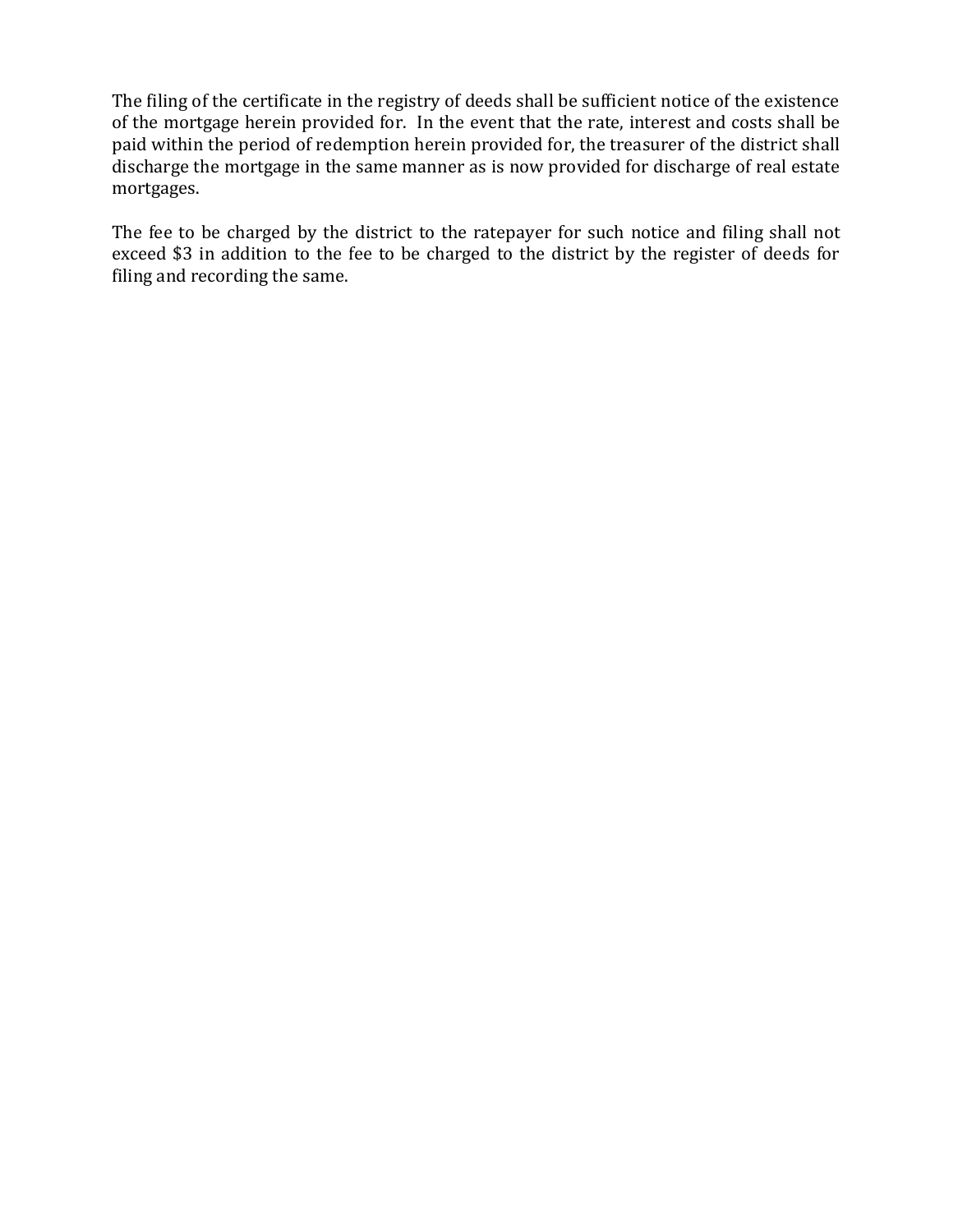The filing of the certificate in the registry of deeds shall be sufficient notice of the existence of the mortgage herein provided for. In the event that the rate, interest and costs shall be paid within the period of redemption herein provided for, the treasurer of the district shall discharge the mortgage in the same manner as is now provided for discharge of real estate mortgages.

The fee to be charged by the district to the ratepayer for such notice and filing shall not exceed \$3 in addition to the fee to be charged to the district by the register of deeds for filing and recording the same.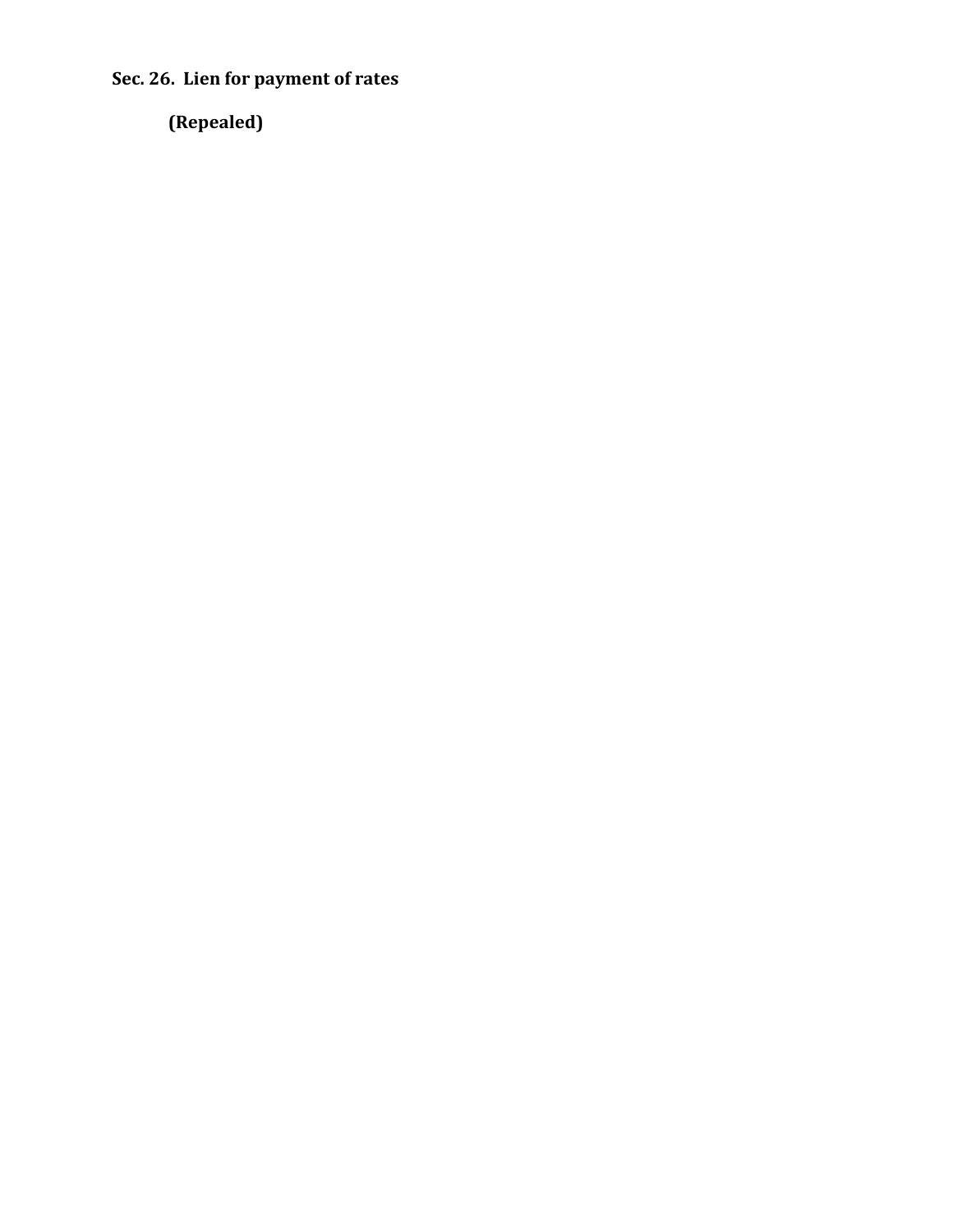**Sec. 26. Lien for payment of rates**

**(Repealed)**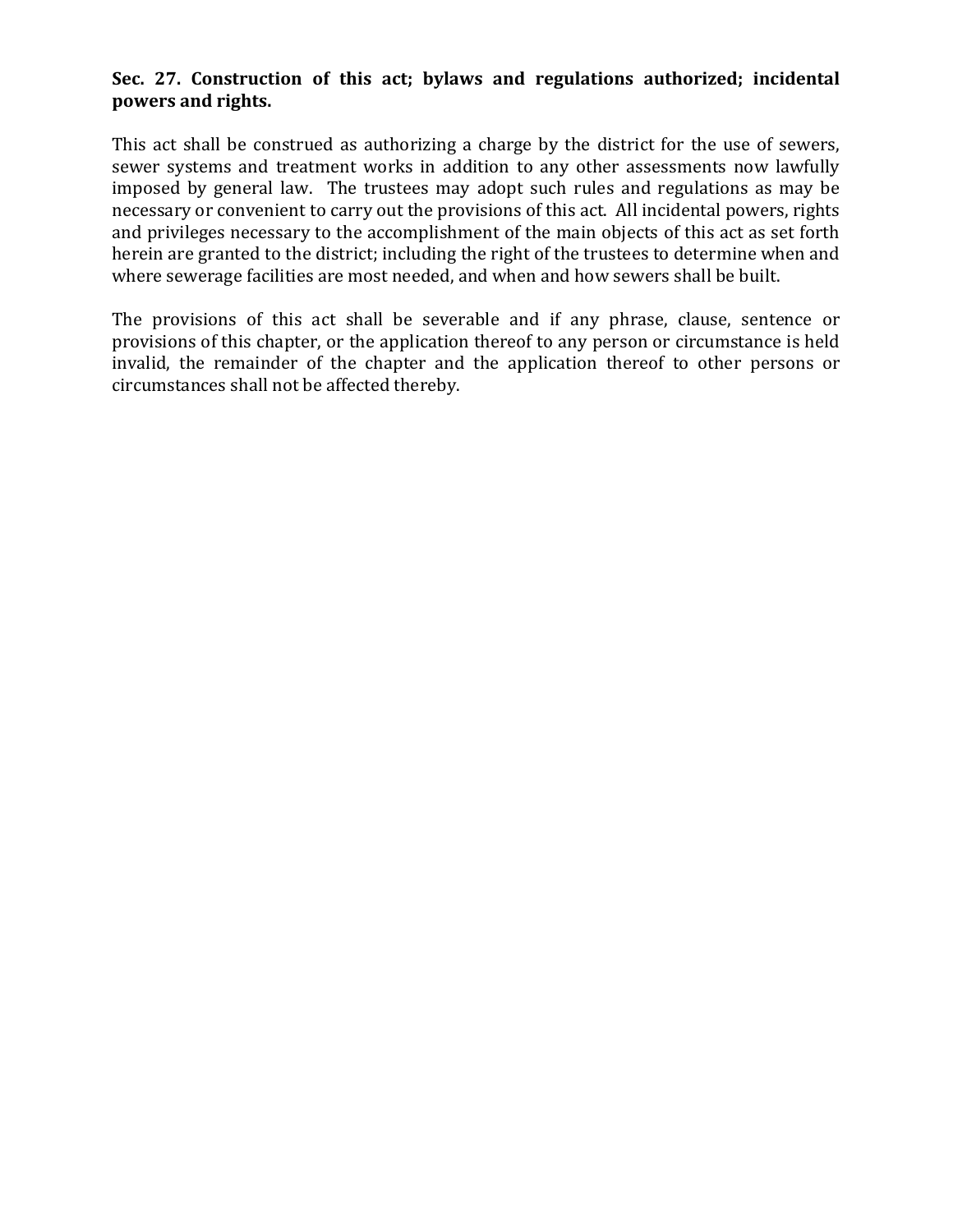# **Sec. 27. Construction of this act; bylaws and regulations authorized; incidental powers and rights.**

This act shall be construed as authorizing a charge by the district for the use of sewers, sewer systems and treatment works in addition to any other assessments now lawfully imposed by general law. The trustees may adopt such rules and regulations as may be necessary or convenient to carry out the provisions of this act. All incidental powers, rights and privileges necessary to the accomplishment of the main objects of this act as set forth herein are granted to the district; including the right of the trustees to determine when and where sewerage facilities are most needed, and when and how sewers shall be built.

The provisions of this act shall be severable and if any phrase, clause, sentence or provisions of this chapter, or the application thereof to any person or circumstance is held invalid, the remainder of the chapter and the application thereof to other persons or circumstances shall not be affected thereby.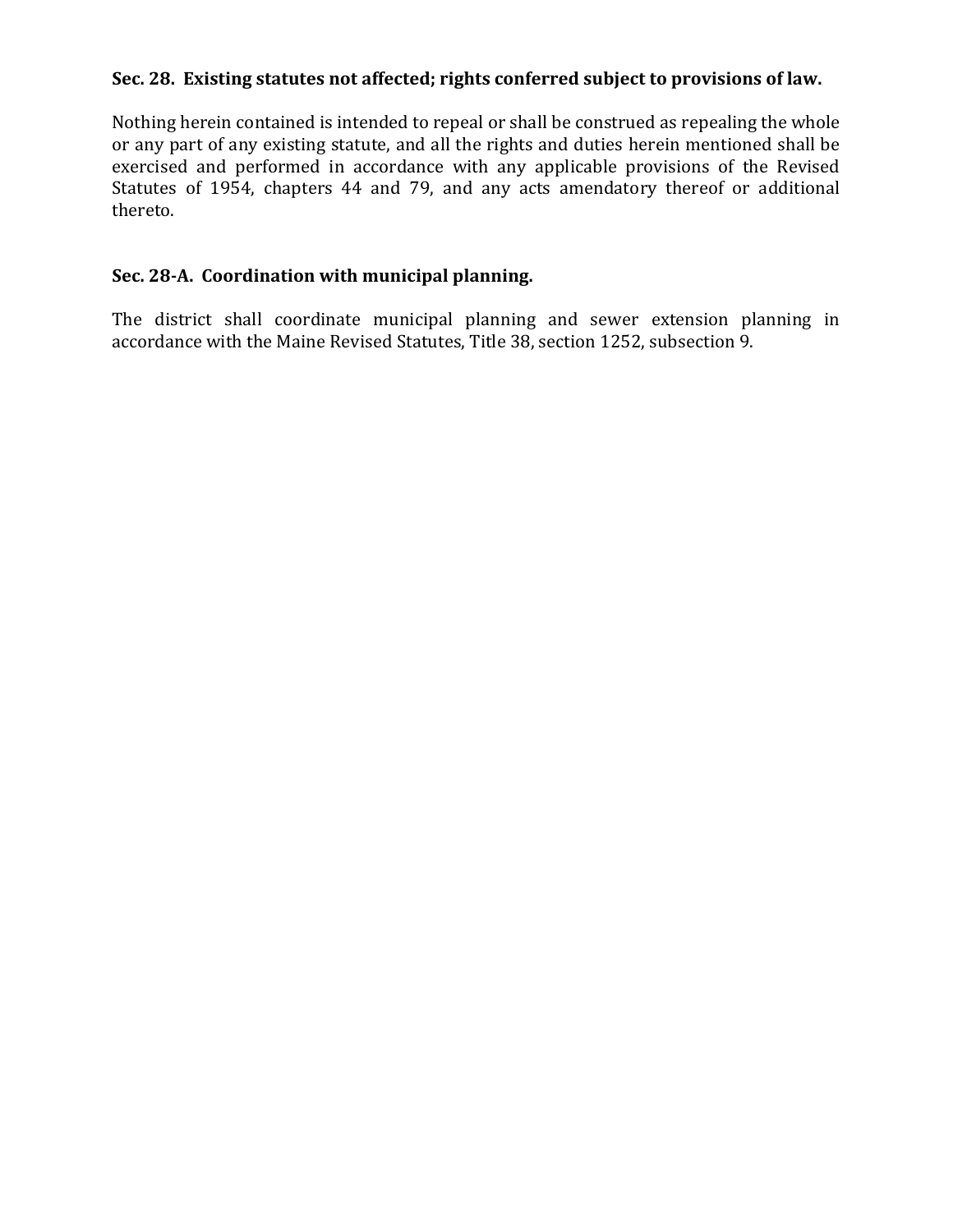# **Sec. 28. Existing statutes not affected; rights conferred subject to provisions of law.**

Nothing herein contained is intended to repeal or shall be construed as repealing the whole or any part of any existing statute, and all the rights and duties herein mentioned shall be exercised and performed in accordance with any applicable provisions of the Revised Statutes of 1954, chapters 44 and 79, and any acts amendatory thereof or additional thereto.

# **Sec. 28-A. Coordination with municipal planning.**

The district shall coordinate municipal planning and sewer extension planning in accordance with the Maine Revised Statutes, Title 38, section 1252, subsection 9.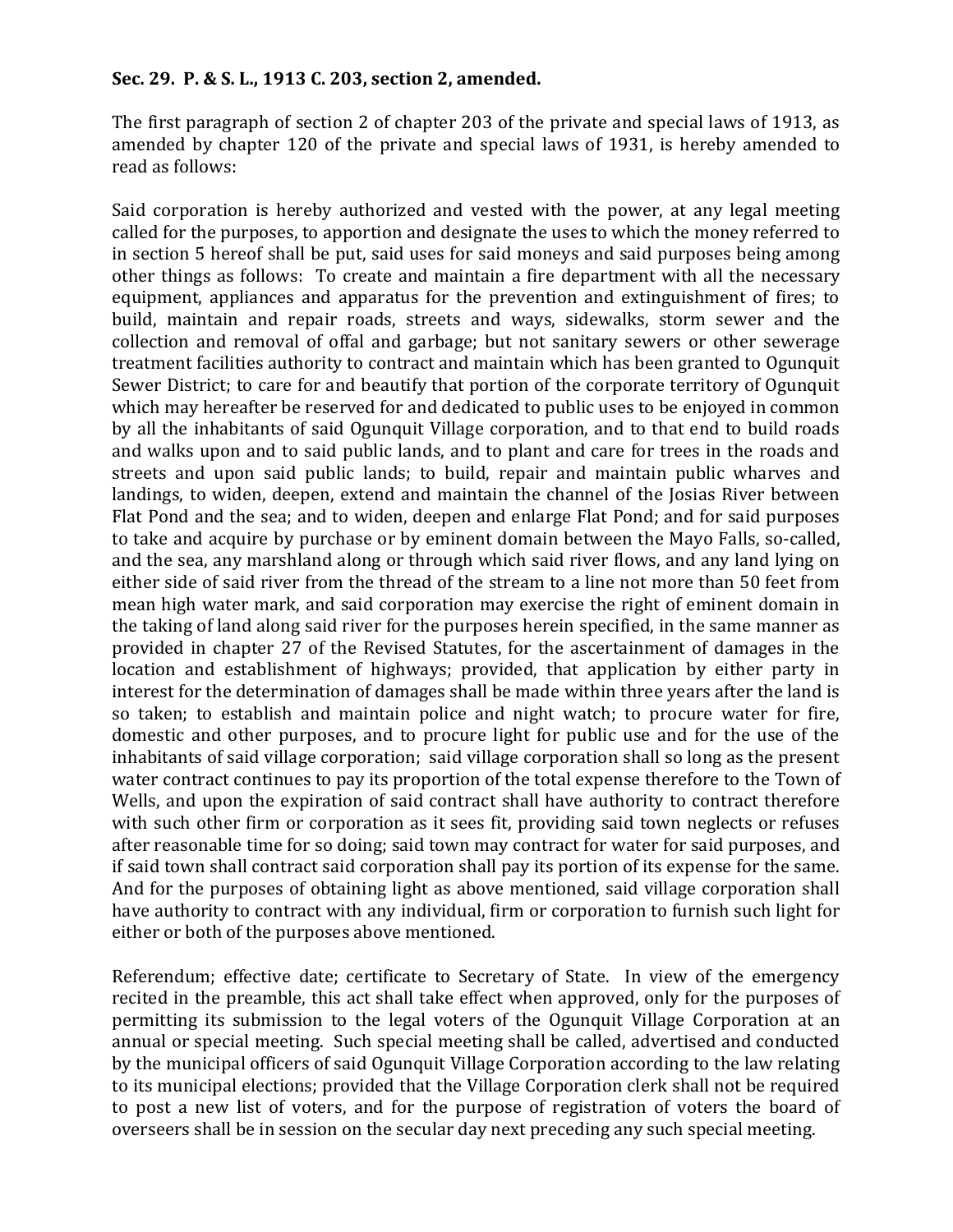#### **Sec. 29. P. & S. L., 1913 C. 203, section 2, amended.**

The first paragraph of section 2 of chapter 203 of the private and special laws of 1913, as amended by chapter 120 of the private and special laws of 1931, is hereby amended to read as follows:

Said corporation is hereby authorized and vested with the power, at any legal meeting called for the purposes, to apportion and designate the uses to which the money referred to in section 5 hereof shall be put, said uses for said moneys and said purposes being among other things as follows: To create and maintain a fire department with all the necessary equipment, appliances and apparatus for the prevention and extinguishment of fires; to build, maintain and repair roads, streets and ways, sidewalks, storm sewer and the collection and removal of offal and garbage; but not sanitary sewers or other sewerage treatment facilities authority to contract and maintain which has been granted to Ogunquit Sewer District; to care for and beautify that portion of the corporate territory of Ogunquit which may hereafter be reserved for and dedicated to public uses to be enjoyed in common by all the inhabitants of said Ogunquit Village corporation, and to that end to build roads and walks upon and to said public lands, and to plant and care for trees in the roads and streets and upon said public lands; to build, repair and maintain public wharves and landings, to widen, deepen, extend and maintain the channel of the Josias River between Flat Pond and the sea; and to widen, deepen and enlarge Flat Pond; and for said purposes to take and acquire by purchase or by eminent domain between the Mayo Falls, so-called, and the sea, any marshland along or through which said river flows, and any land lying on either side of said river from the thread of the stream to a line not more than 50 feet from mean high water mark, and said corporation may exercise the right of eminent domain in the taking of land along said river for the purposes herein specified, in the same manner as provided in chapter 27 of the Revised Statutes, for the ascertainment of damages in the location and establishment of highways; provided, that application by either party in interest for the determination of damages shall be made within three years after the land is so taken; to establish and maintain police and night watch; to procure water for fire, domestic and other purposes, and to procure light for public use and for the use of the inhabitants of said village corporation; said village corporation shall so long as the present water contract continues to pay its proportion of the total expense therefore to the Town of Wells, and upon the expiration of said contract shall have authority to contract therefore with such other firm or corporation as it sees fit, providing said town neglects or refuses after reasonable time for so doing; said town may contract for water for said purposes, and if said town shall contract said corporation shall pay its portion of its expense for the same. And for the purposes of obtaining light as above mentioned, said village corporation shall have authority to contract with any individual, firm or corporation to furnish such light for either or both of the purposes above mentioned.

Referendum; effective date; certificate to Secretary of State. In view of the emergency recited in the preamble, this act shall take effect when approved, only for the purposes of permitting its submission to the legal voters of the Ogunquit Village Corporation at an annual or special meeting. Such special meeting shall be called, advertised and conducted by the municipal officers of said Ogunquit Village Corporation according to the law relating to its municipal elections; provided that the Village Corporation clerk shall not be required to post a new list of voters, and for the purpose of registration of voters the board of overseers shall be in session on the secular day next preceding any such special meeting.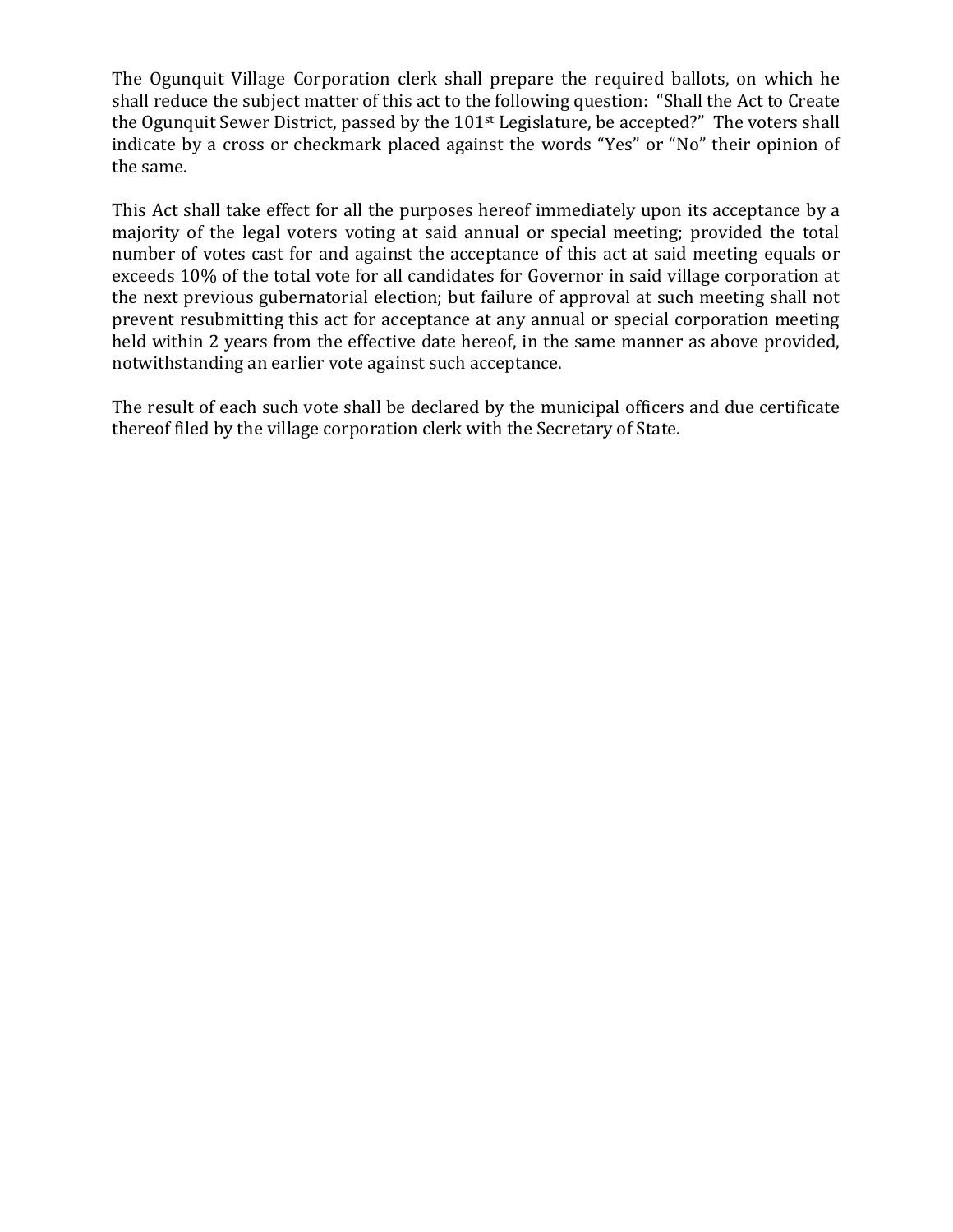The Ogunquit Village Corporation clerk shall prepare the required ballots, on which he shall reduce the subject matter of this act to the following question: "Shall the Act to Create the Ogunquit Sewer District, passed by the 101st Legislature, be accepted?" The voters shall indicate by a cross or checkmark placed against the words "Yes" or "No" their opinion of the same.

This Act shall take effect for all the purposes hereof immediately upon its acceptance by a majority of the legal voters voting at said annual or special meeting; provided the total number of votes cast for and against the acceptance of this act at said meeting equals or exceeds 10% of the total vote for all candidates for Governor in said village corporation at the next previous gubernatorial election; but failure of approval at such meeting shall not prevent resubmitting this act for acceptance at any annual or special corporation meeting held within 2 years from the effective date hereof, in the same manner as above provided, notwithstanding an earlier vote against such acceptance.

The result of each such vote shall be declared by the municipal officers and due certificate thereof filed by the village corporation clerk with the Secretary of State.